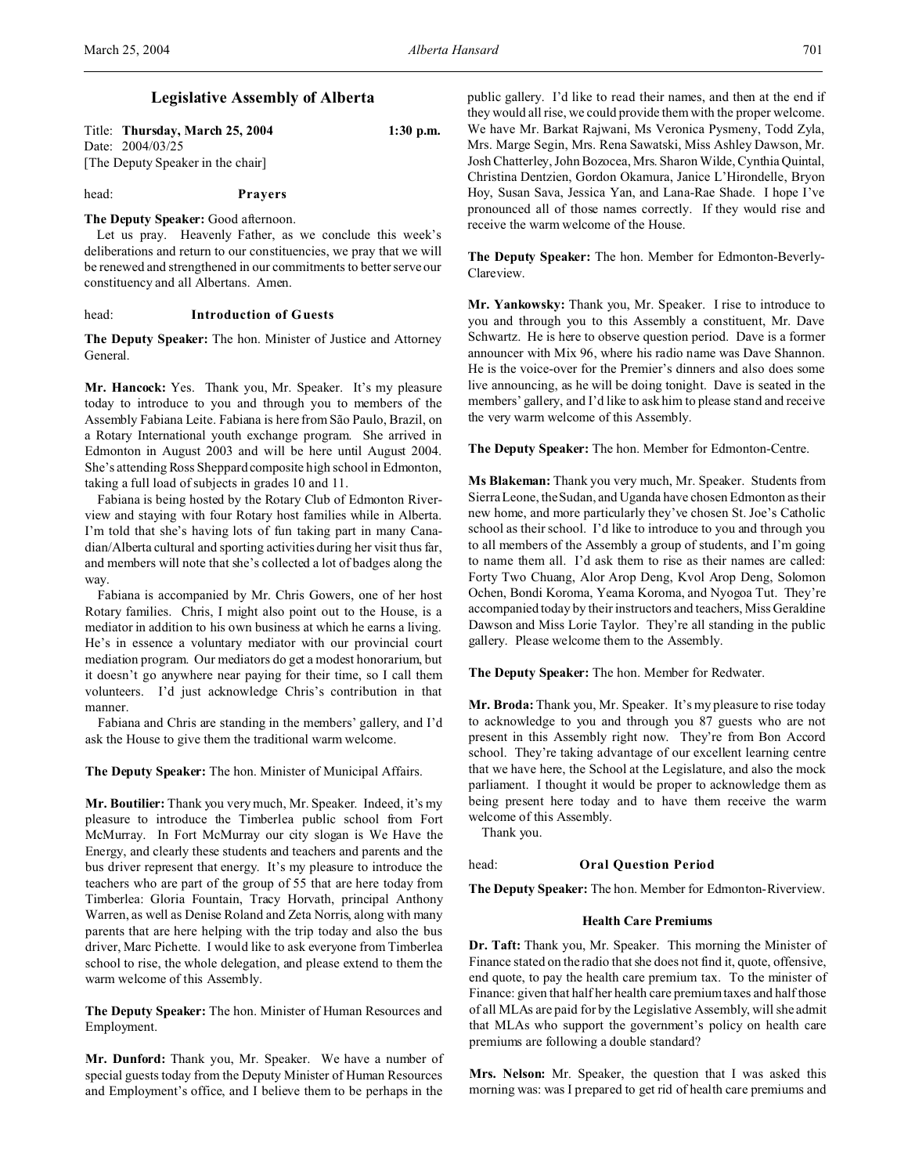# **Legislative Assembly of Alberta**

| Title: Thursday, March 25, 2004   | $1:30$ p.m. |
|-----------------------------------|-------------|
| Date: 2004/03/25                  |             |
| [The Deputy Speaker in the chair] |             |

### head: **Prayers**

#### **The Deputy Speaker:** Good afternoon.

Let us pray. Heavenly Father, as we conclude this week's deliberations and return to our constituencies, we pray that we will be renewed and strengthened in our commitments to better serve our constituency and all Albertans. Amen.

#### head: **Introduction of Guests**

**The Deputy Speaker:** The hon. Minister of Justice and Attorney General.

**Mr. Hancock:** Yes. Thank you, Mr. Speaker. It's my pleasure today to introduce to you and through you to members of the Assembly Fabiana Leite. Fabiana is here from São Paulo, Brazil, on a Rotary International youth exchange program. She arrived in Edmonton in August 2003 and will be here until August 2004. She's attending Ross Sheppard composite high school in Edmonton, taking a full load of subjects in grades 10 and 11.

Fabiana is being hosted by the Rotary Club of Edmonton Riverview and staying with four Rotary host families while in Alberta. I'm told that she's having lots of fun taking part in many Canadian/Alberta cultural and sporting activities during her visit thus far, and members will note that she's collected a lot of badges along the way.

Fabiana is accompanied by Mr. Chris Gowers, one of her host Rotary families. Chris, I might also point out to the House, is a mediator in addition to his own business at which he earns a living. He's in essence a voluntary mediator with our provincial court mediation program. Our mediators do get a modest honorarium, but it doesn't go anywhere near paying for their time, so I call them volunteers. I'd just acknowledge Chris's contribution in that manner.

Fabiana and Chris are standing in the members' gallery, and I'd ask the House to give them the traditional warm welcome.

**The Deputy Speaker:** The hon. Minister of Municipal Affairs.

**Mr. Boutilier:** Thank you very much, Mr. Speaker. Indeed, it's my pleasure to introduce the Timberlea public school from Fort McMurray. In Fort McMurray our city slogan is We Have the Energy, and clearly these students and teachers and parents and the bus driver represent that energy. It's my pleasure to introduce the teachers who are part of the group of 55 that are here today from Timberlea: Gloria Fountain, Tracy Horvath, principal Anthony Warren, as well as Denise Roland and Zeta Norris, along with many parents that are here helping with the trip today and also the bus driver, Marc Pichette. I would like to ask everyone from Timberlea school to rise, the whole delegation, and please extend to them the warm welcome of this Assembly.

**The Deputy Speaker:** The hon. Minister of Human Resources and Employment.

**Mr. Dunford:** Thank you, Mr. Speaker. We have a number of special guests today from the Deputy Minister of Human Resources and Employment's office, and I believe them to be perhaps in the

public gallery. I'd like to read their names, and then at the end if they would all rise, we could provide them with the proper welcome. We have Mr. Barkat Rajwani, Ms Veronica Pysmeny, Todd Zyla, Mrs. Marge Segin, Mrs. Rena Sawatski, Miss Ashley Dawson, Mr. Josh Chatterley, John Bozocea, Mrs. Sharon Wilde, Cynthia Quintal, Christina Dentzien, Gordon Okamura, Janice L'Hirondelle, Bryon Hoy, Susan Sava, Jessica Yan, and Lana-Rae Shade. I hope I've pronounced all of those names correctly. If they would rise and receive the warm welcome of the House.

**The Deputy Speaker:** The hon. Member for Edmonton-Beverly-Clareview.

**Mr. Yankowsky:** Thank you, Mr. Speaker. I rise to introduce to you and through you to this Assembly a constituent, Mr. Dave Schwartz. He is here to observe question period. Dave is a former announcer with Mix 96, where his radio name was Dave Shannon. He is the voice-over for the Premier's dinners and also does some live announcing, as he will be doing tonight. Dave is seated in the members' gallery, and I'd like to ask him to please stand and receive the very warm welcome of this Assembly.

**The Deputy Speaker:** The hon. Member for Edmonton-Centre.

**Ms Blakeman:** Thank you very much, Mr. Speaker. Students from Sierra Leone, the Sudan, and Uganda have chosen Edmonton as their new home, and more particularly they've chosen St. Joe's Catholic school as their school. I'd like to introduce to you and through you to all members of the Assembly a group of students, and I'm going to name them all. I'd ask them to rise as their names are called: Forty Two Chuang, Alor Arop Deng, Kvol Arop Deng, Solomon Ochen, Bondi Koroma, Yeama Koroma, and Nyogoa Tut. They're accompanied today by their instructors and teachers, Miss Geraldine Dawson and Miss Lorie Taylor. They're all standing in the public gallery. Please welcome them to the Assembly.

**The Deputy Speaker:** The hon. Member for Redwater.

**Mr. Broda:** Thank you, Mr. Speaker. It's my pleasure to rise today to acknowledge to you and through you 87 guests who are not present in this Assembly right now. They're from Bon Accord school. They're taking advantage of our excellent learning centre that we have here, the School at the Legislature, and also the mock parliament. I thought it would be proper to acknowledge them as being present here today and to have them receive the warm welcome of this Assembly.

Thank you.

#### head: **Oral Question Period**

**The Deputy Speaker:** The hon. Member for Edmonton-Riverview.

## **Health Care Premiums**

**Dr. Taft:** Thank you, Mr. Speaker. This morning the Minister of Finance stated on the radio that she does not find it, quote, offensive, end quote, to pay the health care premium tax. To the minister of Finance: given that half her health care premium taxes and half those of all MLAs are paid for by the Legislative Assembly, will she admit that MLAs who support the government's policy on health care premiums are following a double standard?

**Mrs. Nelson:** Mr. Speaker, the question that I was asked this morning was: was I prepared to get rid of health care premiums and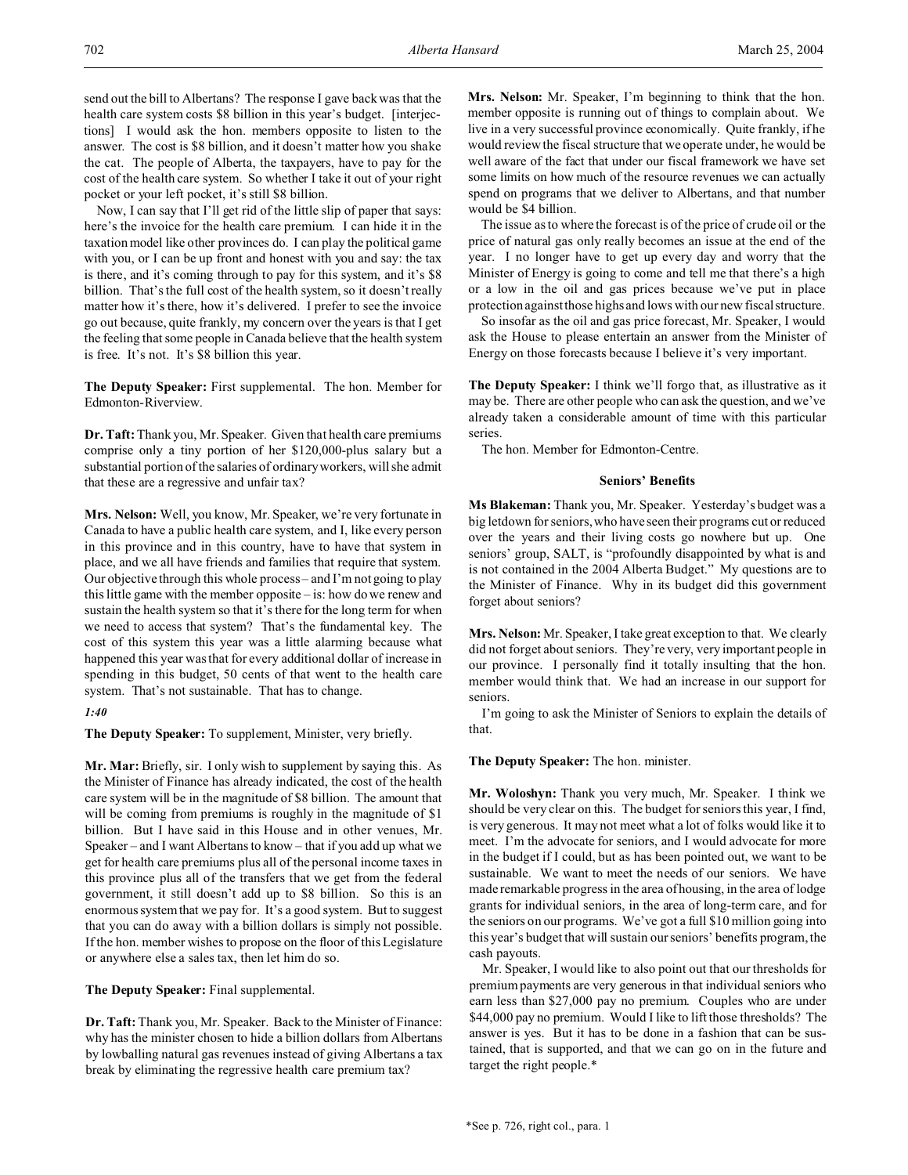send out the bill to Albertans? The response I gave back was that the health care system costs \$8 billion in this year's budget. [interjections] I would ask the hon. members opposite to listen to the answer. The cost is \$8 billion, and it doesn't matter how you shake the cat. The people of Alberta, the taxpayers, have to pay for the cost of the health care system. So whether I take it out of your right pocket or your left pocket, it's still \$8 billion.

Now, I can say that I'll get rid of the little slip of paper that says: here's the invoice for the health care premium. I can hide it in the taxation model like other provinces do. I can play the political game with you, or I can be up front and honest with you and say: the tax is there, and it's coming through to pay for this system, and it's \$8 billion. That's the full cost of the health system, so it doesn't really matter how it's there, how it's delivered. I prefer to see the invoice go out because, quite frankly, my concern over the years is that I get the feeling that some people in Canada believe that the health system is free. It's not. It's \$8 billion this year.

**The Deputy Speaker:** First supplemental. The hon. Member for Edmonton-Riverview.

**Dr. Taft:** Thank you, Mr. Speaker. Given that health care premiums comprise only a tiny portion of her \$120,000-plus salary but a substantial portion of the salaries of ordinary workers, will she admit that these are a regressive and unfair tax?

**Mrs. Nelson:** Well, you know, Mr. Speaker, we're very fortunate in Canada to have a public health care system, and I, like every person in this province and in this country, have to have that system in place, and we all have friends and families that require that system. Our objective through this whole process – and I'm not going to play this little game with the member opposite – is: how do we renew and sustain the health system so that it's there for the long term for when we need to access that system? That's the fundamental key. The cost of this system this year was a little alarming because what happened this year was that for every additional dollar of increase in spending in this budget, 50 cents of that went to the health care system. That's not sustainable. That has to change.

## *1:40*

**The Deputy Speaker:** To supplement, Minister, very briefly.

**Mr. Mar:** Briefly, sir. I only wish to supplement by saying this. As the Minister of Finance has already indicated, the cost of the health care system will be in the magnitude of \$8 billion. The amount that will be coming from premiums is roughly in the magnitude of \$1 billion. But I have said in this House and in other venues, Mr. Speaker – and I want Albertans to know – that if you add up what we get for health care premiums plus all of the personal income taxes in this province plus all of the transfers that we get from the federal government, it still doesn't add up to \$8 billion. So this is an enormous system that we pay for. It's a good system. But to suggest that you can do away with a billion dollars is simply not possible. If the hon. member wishes to propose on the floor of this Legislature or anywhere else a sales tax, then let him do so.

**The Deputy Speaker:** Final supplemental.

**Dr. Taft:** Thank you, Mr. Speaker. Back to the Minister of Finance: why has the minister chosen to hide a billion dollars from Albertans by lowballing natural gas revenues instead of giving Albertans a tax break by eliminating the regressive health care premium tax?

**Mrs. Nelson:** Mr. Speaker, I'm beginning to think that the hon. member opposite is running out of things to complain about. We live in a very successful province economically. Quite frankly, if he would review the fiscal structure that we operate under, he would be well aware of the fact that under our fiscal framework we have set some limits on how much of the resource revenues we can actually spend on programs that we deliver to Albertans, and that number would be \$4 billion.

The issue as to where the forecast is of the price of crude oil or the price of natural gas only really becomes an issue at the end of the year. I no longer have to get up every day and worry that the Minister of Energy is going to come and tell me that there's a high or a low in the oil and gas prices because we've put in place protection against those highs and lows with our new fiscal structure.

So insofar as the oil and gas price forecast, Mr. Speaker, I would ask the House to please entertain an answer from the Minister of Energy on those forecasts because I believe it's very important.

**The Deputy Speaker:** I think we'll forgo that, as illustrative as it may be. There are other people who can ask the question, and we've already taken a considerable amount of time with this particular series.

The hon. Member for Edmonton-Centre.

### **Seniors' Benefits**

**Ms Blakeman:** Thank you, Mr. Speaker. Yesterday's budget was a big letdown for seniors, who have seen their programs cut or reduced over the years and their living costs go nowhere but up. One seniors' group, SALT, is "profoundly disappointed by what is and is not contained in the 2004 Alberta Budget." My questions are to the Minister of Finance. Why in its budget did this government forget about seniors?

**Mrs. Nelson:** Mr. Speaker, I take great exception to that. We clearly did not forget about seniors. They're very, very important people in our province. I personally find it totally insulting that the hon. member would think that. We had an increase in our support for seniors.

I'm going to ask the Minister of Seniors to explain the details of that.

**The Deputy Speaker:** The hon. minister.

**Mr. Woloshyn:** Thank you very much, Mr. Speaker. I think we should be very clear on this. The budget for seniors this year, I find, is very generous. It may not meet what a lot of folks would like it to meet. I'm the advocate for seniors, and I would advocate for more in the budget if I could, but as has been pointed out, we want to be sustainable. We want to meet the needs of our seniors. We have made remarkable progress in the area of housing, in the area of lodge grants for individual seniors, in the area of long-term care, and for the seniors on our programs. We've got a full \$10 million going into this year's budget that will sustain our seniors' benefits program, the cash payouts.

Mr. Speaker, I would like to also point out that our thresholds for premium payments are very generous in that individual seniors who earn less than \$27,000 pay no premium. Couples who are under \$44,000 pay no premium. Would I like to lift those thresholds? The answer is yes. But it has to be done in a fashion that can be sustained, that is supported, and that we can go on in the future and target the right people.\*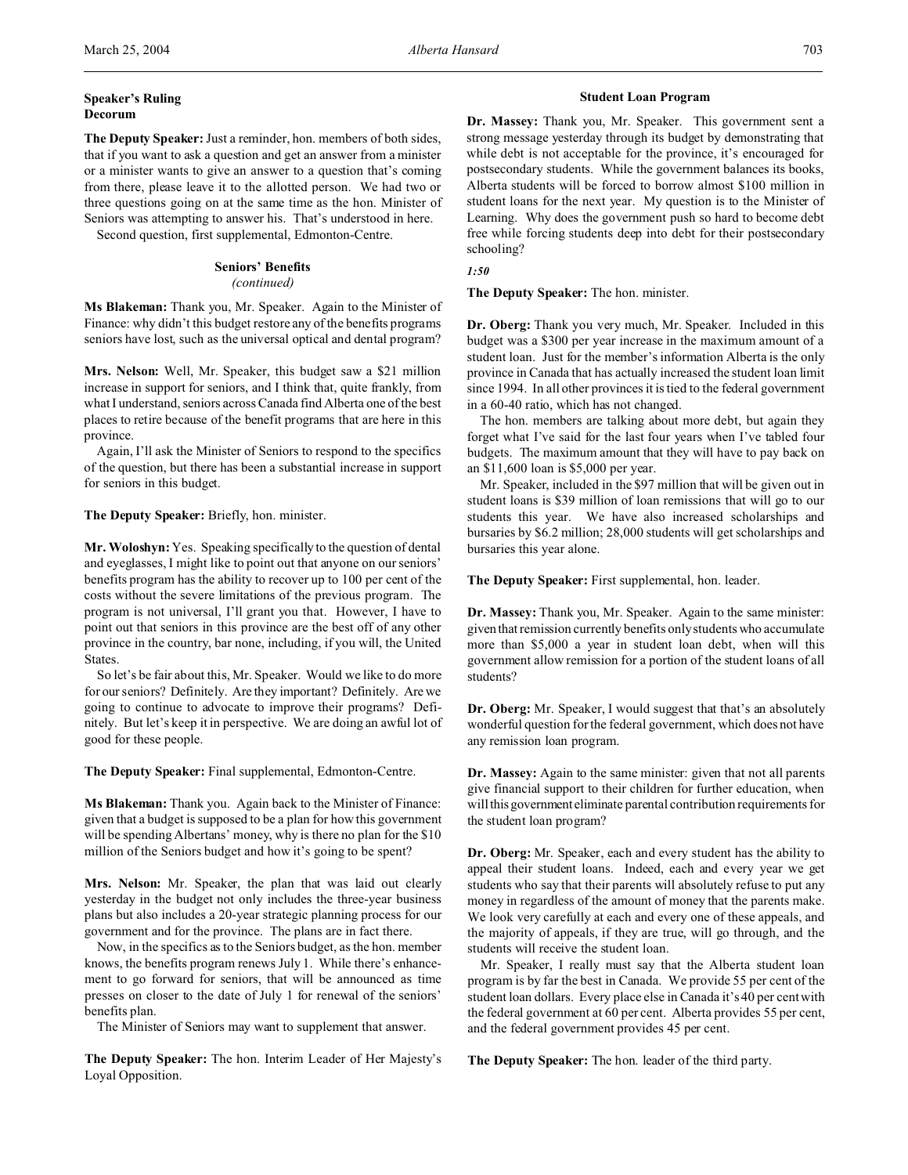## **Speaker's Ruling Decorum**

**The Deputy Speaker:** Just a reminder, hon. members of both sides, that if you want to ask a question and get an answer from a minister or a minister wants to give an answer to a question that's coming from there, please leave it to the allotted person. We had two or three questions going on at the same time as the hon. Minister of Seniors was attempting to answer his. That's understood in here.

Second question, first supplemental, Edmonton-Centre.

# **Seniors' Benefits**

## *(continued)*

**Ms Blakeman:** Thank you, Mr. Speaker. Again to the Minister of Finance: why didn't this budget restore any of the benefits programs seniors have lost, such as the universal optical and dental program?

**Mrs. Nelson:** Well, Mr. Speaker, this budget saw a \$21 million increase in support for seniors, and I think that, quite frankly, from what I understand, seniors across Canada find Alberta one of the best places to retire because of the benefit programs that are here in this province.

Again, I'll ask the Minister of Seniors to respond to the specifics of the question, but there has been a substantial increase in support for seniors in this budget.

**The Deputy Speaker:** Briefly, hon. minister.

**Mr. Woloshyn:** Yes. Speaking specifically to the question of dental and eyeglasses, I might like to point out that anyone on our seniors' benefits program has the ability to recover up to 100 per cent of the costs without the severe limitations of the previous program. The program is not universal, I'll grant you that. However, I have to point out that seniors in this province are the best off of any other province in the country, bar none, including, if you will, the United **States**.

So let's be fair about this, Mr. Speaker. Would we like to do more for our seniors? Definitely. Are they important? Definitely. Are we going to continue to advocate to improve their programs? Definitely. But let's keep it in perspective. We are doing an awful lot of good for these people.

**The Deputy Speaker:** Final supplemental, Edmonton-Centre.

**Ms Blakeman:** Thank you. Again back to the Minister of Finance: given that a budget is supposed to be a plan for how this government will be spending Albertans' money, why is there no plan for the \$10 million of the Seniors budget and how it's going to be spent?

**Mrs. Nelson:** Mr. Speaker, the plan that was laid out clearly yesterday in the budget not only includes the three-year business plans but also includes a 20-year strategic planning process for our government and for the province. The plans are in fact there.

Now, in the specifics as to the Seniors budget, as the hon. member knows, the benefits program renews July 1. While there's enhancement to go forward for seniors, that will be announced as time presses on closer to the date of July 1 for renewal of the seniors' benefits plan.

The Minister of Seniors may want to supplement that answer.

**The Deputy Speaker:** The hon. Interim Leader of Her Majesty's Loyal Opposition.

## **Student Loan Program**

**Dr. Massey:** Thank you, Mr. Speaker. This government sent a strong message yesterday through its budget by demonstrating that while debt is not acceptable for the province, it's encouraged for postsecondary students. While the government balances its books, Alberta students will be forced to borrow almost \$100 million in student loans for the next year. My question is to the Minister of Learning. Why does the government push so hard to become debt free while forcing students deep into debt for their postsecondary schooling?

*1:50*

**The Deputy Speaker:** The hon. minister.

**Dr. Oberg:** Thank you very much, Mr. Speaker. Included in this budget was a \$300 per year increase in the maximum amount of a student loan. Just for the member's information Alberta is the only province in Canada that has actually increased the student loan limit since 1994. In all other provinces it is tied to the federal government in a 60-40 ratio, which has not changed.

The hon. members are talking about more debt, but again they forget what I've said for the last four years when I've tabled four budgets. The maximum amount that they will have to pay back on an \$11,600 loan is \$5,000 per year.

Mr. Speaker, included in the \$97 million that will be given out in student loans is \$39 million of loan remissions that will go to our students this year. We have also increased scholarships and bursaries by \$6.2 million; 28,000 students will get scholarships and bursaries this year alone.

**The Deputy Speaker:** First supplemental, hon. leader.

**Dr. Massey:** Thank you, Mr. Speaker. Again to the same minister: given that remission currently benefits only students who accumulate more than \$5,000 a year in student loan debt, when will this government allow remission for a portion of the student loans of all students?

**Dr. Oberg:** Mr. Speaker, I would suggest that that's an absolutely wonderful question for the federal government, which does not have any remission loan program.

**Dr. Massey:** Again to the same minister: given that not all parents give financial support to their children for further education, when willthisgovernment eliminate parental contribution requirements for the student loan program?

**Dr. Oberg:** Mr. Speaker, each and every student has the ability to appeal their student loans. Indeed, each and every year we get students who say that their parents will absolutely refuse to put any money in regardless of the amount of money that the parents make. We look very carefully at each and every one of these appeals, and the majority of appeals, if they are true, will go through, and the students will receive the student loan.

Mr. Speaker, I really must say that the Alberta student loan program is by far the best in Canada. We provide 55 per cent of the student loan dollars. Every place else in Canada it's 40 per cent with the federal government at 60 per cent. Alberta provides 55 per cent, and the federal government provides 45 per cent.

**The Deputy Speaker:** The hon. leader of the third party.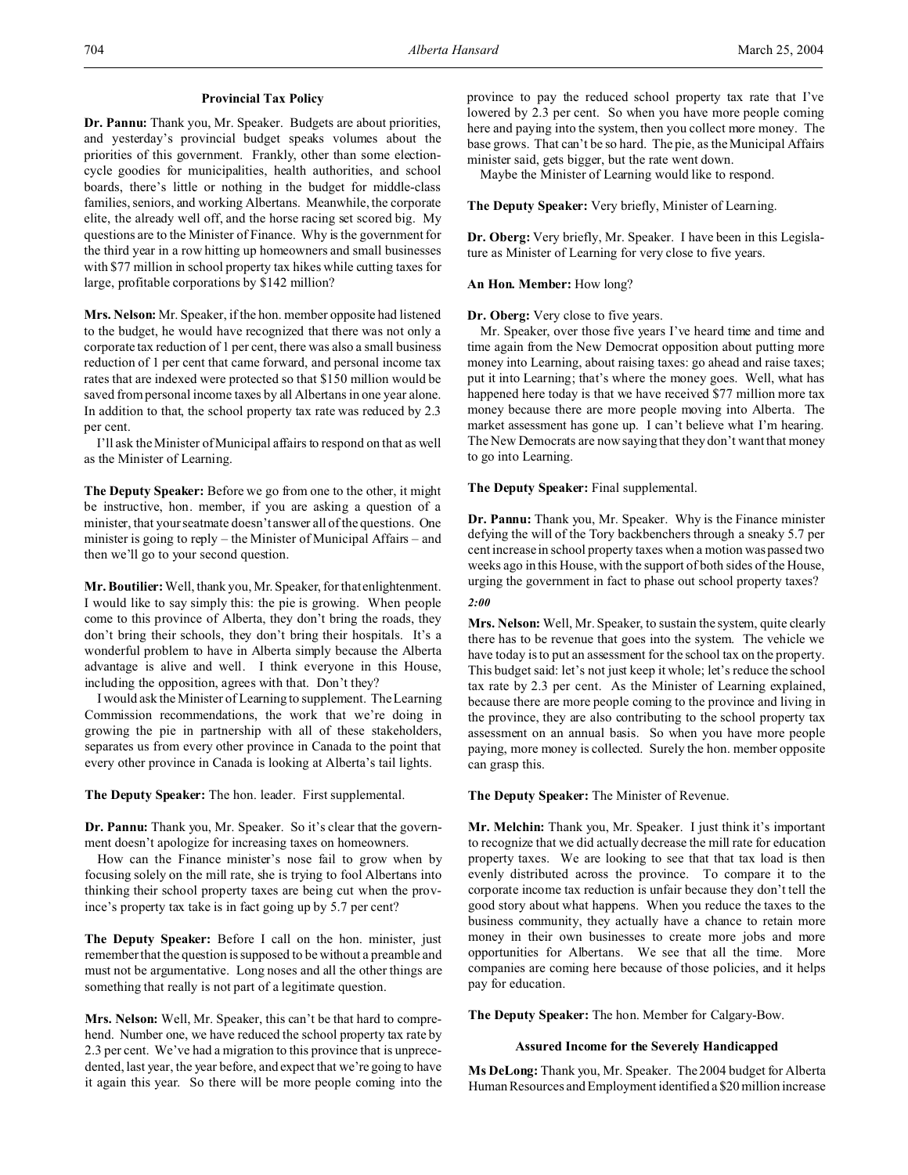## **Provincial Tax Policy**

**Dr. Pannu:** Thank you, Mr. Speaker. Budgets are about priorities, and yesterday's provincial budget speaks volumes about the priorities of this government. Frankly, other than some electioncycle goodies for municipalities, health authorities, and school boards, there's little or nothing in the budget for middle-class families, seniors, and working Albertans. Meanwhile, the corporate elite, the already well off, and the horse racing set scored big. My questions are to the Minister of Finance. Why is the government for the third year in a row hitting up homeowners and small businesses with \$77 million in school property tax hikes while cutting taxes for large, profitable corporations by \$142 million?

**Mrs. Nelson:** Mr. Speaker, if the hon. member opposite had listened to the budget, he would have recognized that there was not only a corporate tax reduction of 1 per cent, there was also a small business reduction of 1 per cent that came forward, and personal income tax rates that are indexed were protected so that \$150 million would be saved from personal income taxes by all Albertans in one year alone. In addition to that, the school property tax rate was reduced by 2.3 per cent.

I'll ask the Minister of Municipal affairs to respond on that as well as the Minister of Learning.

**The Deputy Speaker:** Before we go from one to the other, it might be instructive, hon. member, if you are asking a question of a minister, that your seatmate doesn't answer all of the questions. One minister is going to reply – the Minister of Municipal Affairs – and then we'll go to your second question.

**Mr. Boutilier:** Well, thank you, Mr. Speaker, for that enlightenment. I would like to say simply this: the pie is growing. When people come to this province of Alberta, they don't bring the roads, they don't bring their schools, they don't bring their hospitals. It's a wonderful problem to have in Alberta simply because the Alberta advantage is alive and well. I think everyone in this House, including the opposition, agrees with that. Don't they?

I would ask the Minister of Learning to supplement. The Learning Commission recommendations, the work that we're doing in growing the pie in partnership with all of these stakeholders, separates us from every other province in Canada to the point that every other province in Canada is looking at Alberta's tail lights.

**The Deputy Speaker:** The hon. leader. First supplemental.

**Dr. Pannu:** Thank you, Mr. Speaker. So it's clear that the government doesn't apologize for increasing taxes on homeowners.

How can the Finance minister's nose fail to grow when by focusing solely on the mill rate, she is trying to fool Albertans into thinking their school property taxes are being cut when the province's property tax take is in fact going up by 5.7 per cent?

**The Deputy Speaker:** Before I call on the hon. minister, just remember that the question is supposed to be without a preamble and must not be argumentative. Long noses and all the other things are something that really is not part of a legitimate question.

**Mrs. Nelson:** Well, Mr. Speaker, this can't be that hard to comprehend. Number one, we have reduced the school property tax rate by 2.3 per cent. We've had a migration to this province that is unprecedented, last year, the year before, and expect that we're going to have it again this year. So there will be more people coming into the province to pay the reduced school property tax rate that I've lowered by 2.3 per cent. So when you have more people coming here and paying into the system, then you collect more money. The base grows. That can't be so hard. The pie, as the Municipal Affairs minister said, gets bigger, but the rate went down.

Maybe the Minister of Learning would like to respond.

**The Deputy Speaker:** Very briefly, Minister of Learning.

**Dr. Oberg:** Very briefly, Mr. Speaker. I have been in this Legislature as Minister of Learning for very close to five years.

## **An Hon. Member:** How long?

## **Dr. Oberg:** Very close to five years.

Mr. Speaker, over those five years I've heard time and time and time again from the New Democrat opposition about putting more money into Learning, about raising taxes: go ahead and raise taxes; put it into Learning; that's where the money goes. Well, what has happened here today is that we have received \$77 million more tax money because there are more people moving into Alberta. The market assessment has gone up. I can't believe what I'm hearing. The New Democrats are now saying that they don't want that money to go into Learning.

**The Deputy Speaker:** Final supplemental.

**Dr. Pannu:** Thank you, Mr. Speaker. Why is the Finance minister defying the will of the Tory backbenchers through a sneaky 5.7 per cent increase in school property taxes when a motion was passed two weeks ago in this House, with the support of both sides of the House, urging the government in fact to phase out school property taxes?

*2:00*

**Mrs. Nelson:** Well, Mr. Speaker, to sustain the system, quite clearly there has to be revenue that goes into the system. The vehicle we have today is to put an assessment for the school tax on the property. This budget said: let's not just keep it whole; let's reduce the school tax rate by 2.3 per cent. As the Minister of Learning explained, because there are more people coming to the province and living in the province, they are also contributing to the school property tax assessment on an annual basis. So when you have more people paying, more money is collected. Surely the hon. member opposite can grasp this.

### **The Deputy Speaker:** The Minister of Revenue.

**Mr. Melchin:** Thank you, Mr. Speaker. I just think it's important to recognize that we did actually decrease the mill rate for education property taxes. We are looking to see that that tax load is then evenly distributed across the province. To compare it to the corporate income tax reduction is unfair because they don't tell the good story about what happens. When you reduce the taxes to the business community, they actually have a chance to retain more money in their own businesses to create more jobs and more opportunities for Albertans. We see that all the time. More companies are coming here because of those policies, and it helps pay for education.

**The Deputy Speaker:** The hon. Member for Calgary-Bow.

### **Assured Income for the Severely Handicapped**

**Ms DeLong:** Thank you, Mr. Speaker. The 2004 budget for Alberta Human Resources and Employment identified a \$20 million increase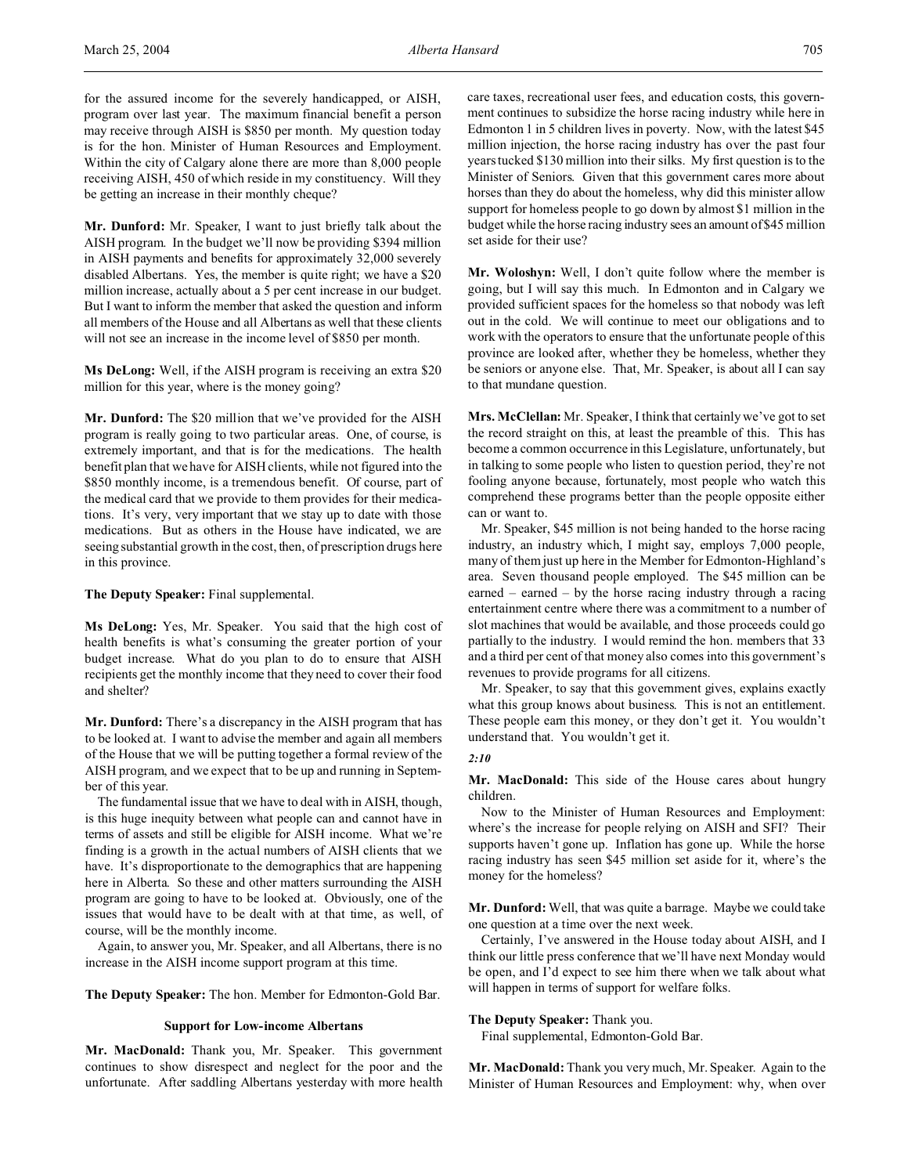for the assured income for the severely handicapped, or AISH, program over last year. The maximum financial benefit a person may receive through AISH is \$850 per month. My question today is for the hon. Minister of Human Resources and Employment. Within the city of Calgary alone there are more than 8,000 people receiving AISH, 450 of which reside in my constituency. Will they be getting an increase in their monthly cheque?

**Mr. Dunford:** Mr. Speaker, I want to just briefly talk about the AISH program. In the budget we'll now be providing \$394 million in AISH payments and benefits for approximately 32,000 severely disabled Albertans. Yes, the member is quite right; we have a \$20 million increase, actually about a 5 per cent increase in our budget. But I want to inform the member that asked the question and inform all members of the House and all Albertans as well that these clients will not see an increase in the income level of \$850 per month.

**Ms DeLong:** Well, if the AISH program is receiving an extra \$20 million for this year, where is the money going?

**Mr. Dunford:** The \$20 million that we've provided for the AISH program is really going to two particular areas. One, of course, is extremely important, and that is for the medications. The health benefit plan that we have for AISH clients, while not figured into the \$850 monthly income, is a tremendous benefit. Of course, part of the medical card that we provide to them provides for their medications. It's very, very important that we stay up to date with those medications. But as others in the House have indicated, we are seeing substantial growth in the cost, then, of prescription drugs here in this province.

**The Deputy Speaker:** Final supplemental.

**Ms DeLong:** Yes, Mr. Speaker. You said that the high cost of health benefits is what's consuming the greater portion of your budget increase. What do you plan to do to ensure that AISH recipients get the monthly income that they need to cover their food and shelter?

**Mr. Dunford:** There's a discrepancy in the AISH program that has to be looked at. I want to advise the member and again all members of the House that we will be putting together a formal review of the AISH program, and we expect that to be up and running in September of this year.

The fundamental issue that we have to deal with in AISH, though, is this huge inequity between what people can and cannot have in terms of assets and still be eligible for AISH income. What we're finding is a growth in the actual numbers of AISH clients that we have. It's disproportionate to the demographics that are happening here in Alberta. So these and other matters surrounding the AISH program are going to have to be looked at. Obviously, one of the issues that would have to be dealt with at that time, as well, of course, will be the monthly income.

Again, to answer you, Mr. Speaker, and all Albertans, there is no increase in the AISH income support program at this time.

**The Deputy Speaker:** The hon. Member for Edmonton-Gold Bar.

#### **Support for Low-income Albertans**

**Mr. MacDonald:** Thank you, Mr. Speaker. This government continues to show disrespect and neglect for the poor and the unfortunate. After saddling Albertans yesterday with more health care taxes, recreational user fees, and education costs, this government continues to subsidize the horse racing industry while here in Edmonton 1 in 5 children lives in poverty. Now, with the latest \$45 million injection, the horse racing industry has over the past four years tucked \$130 million into their silks. My first question is to the Minister of Seniors. Given that this government cares more about horses than they do about the homeless, why did this minister allow support for homeless people to go down by almost \$1 million in the budget while the horse racing industry sees an amount of \$45 million set aside for their use?

**Mr. Woloshyn:** Well, I don't quite follow where the member is going, but I will say this much. In Edmonton and in Calgary we provided sufficient spaces for the homeless so that nobody was left out in the cold. We will continue to meet our obligations and to work with the operators to ensure that the unfortunate people of this province are looked after, whether they be homeless, whether they be seniors or anyone else. That, Mr. Speaker, is about all I can say to that mundane question.

**Mrs. McClellan:** Mr. Speaker, I think that certainly we've got to set the record straight on this, at least the preamble of this. This has become a common occurrence in this Legislature, unfortunately, but in talking to some people who listen to question period, they're not fooling anyone because, fortunately, most people who watch this comprehend these programs better than the people opposite either can or want to.

Mr. Speaker, \$45 million is not being handed to the horse racing industry, an industry which, I might say, employs 7,000 people, many of them just up here in the Member for Edmonton-Highland's area. Seven thousand people employed. The \$45 million can be earned – earned – by the horse racing industry through a racing entertainment centre where there was a commitment to a number of slot machines that would be available, and those proceeds could go partially to the industry. I would remind the hon. members that 33 and a third per cent of that money also comes into this government's revenues to provide programs for all citizens.

Mr. Speaker, to say that this government gives, explains exactly what this group knows about business. This is not an entitlement. These people earn this money, or they don't get it. You wouldn't understand that. You wouldn't get it.

#### *2:10*

**Mr. MacDonald:** This side of the House cares about hungry children.

Now to the Minister of Human Resources and Employment: where's the increase for people relying on AISH and SFI? Their supports haven't gone up. Inflation has gone up. While the horse racing industry has seen \$45 million set aside for it, where's the money for the homeless?

**Mr. Dunford:** Well, that was quite a barrage. Maybe we could take one question at a time over the next week.

Certainly, I've answered in the House today about AISH, and I think our little press conference that we'll have next Monday would be open, and I'd expect to see him there when we talk about what will happen in terms of support for welfare folks.

## **The Deputy Speaker:** Thank you.

Final supplemental, Edmonton-Gold Bar.

**Mr. MacDonald:** Thank you very much, Mr. Speaker. Again to the Minister of Human Resources and Employment: why, when over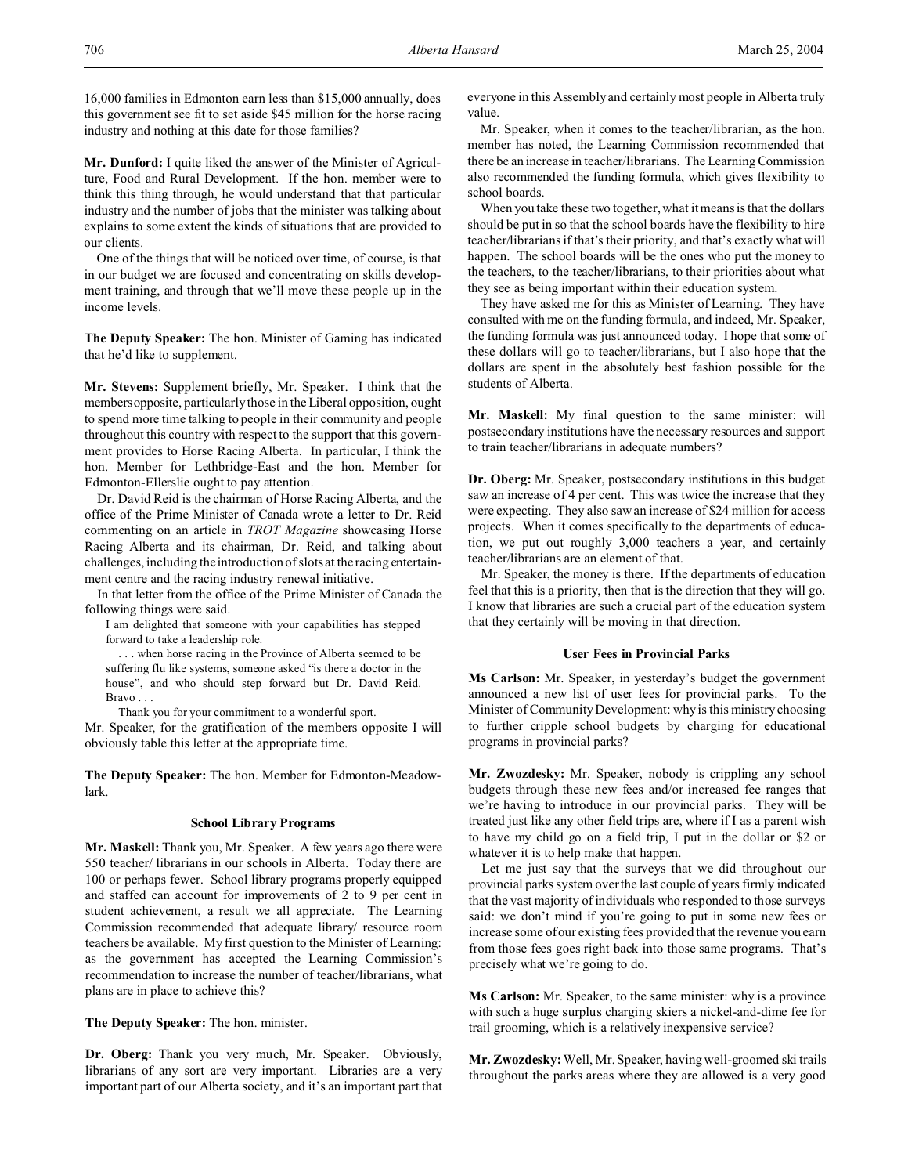**Mr. Dunford:** I quite liked the answer of the Minister of Agriculture, Food and Rural Development. If the hon. member were to think this thing through, he would understand that that particular industry and the number of jobs that the minister was talking about explains to some extent the kinds of situations that are provided to our clients.

One of the things that will be noticed over time, of course, is that in our budget we are focused and concentrating on skills development training, and through that we'll move these people up in the income levels.

**The Deputy Speaker:** The hon. Minister of Gaming has indicated that he'd like to supplement.

**Mr. Stevens:** Supplement briefly, Mr. Speaker. I think that the membersopposite, particularly those in the Liberal opposition, ought to spend more time talking to people in their community and people throughout this country with respect to the support that this government provides to Horse Racing Alberta. In particular, I think the hon. Member for Lethbridge-East and the hon. Member for Edmonton-Ellerslie ought to pay attention.

Dr. David Reid is the chairman of Horse Racing Alberta, and the office of the Prime Minister of Canada wrote a letter to Dr. Reid commenting on an article in *TROT Magazine* showcasing Horse Racing Alberta and its chairman, Dr. Reid, and talking about challenges, including the introduction of slots at the racing entertainment centre and the racing industry renewal initiative.

In that letter from the office of the Prime Minister of Canada the following things were said.

I am delighted that someone with your capabilities has stepped forward to take a leadership role.

. . . when horse racing in the Province of Alberta seemed to be suffering flu like systems, someone asked "is there a doctor in the house", and who should step forward but Dr. David Reid. Bravo . . .

Thank you for your commitment to a wonderful sport.

Mr. Speaker, for the gratification of the members opposite I will obviously table this letter at the appropriate time.

**The Deputy Speaker:** The hon. Member for Edmonton-Meadowlark.

#### **School Library Programs**

**Mr. Maskell:** Thank you, Mr. Speaker. A few years ago there were 550 teacher/ librarians in our schools in Alberta. Today there are 100 or perhaps fewer. School library programs properly equipped and staffed can account for improvements of 2 to 9 per cent in student achievement, a result we all appreciate. The Learning Commission recommended that adequate library/ resource room teachers be available. My first question to the Minister of Learning: as the government has accepted the Learning Commission's recommendation to increase the number of teacher/librarians, what plans are in place to achieve this?

**The Deputy Speaker:** The hon. minister.

**Dr. Oberg:** Thank you very much, Mr. Speaker. Obviously, librarians of any sort are very important. Libraries are a very important part of our Alberta society, and it's an important part that everyone in this Assembly and certainly most people in Alberta truly value.

Mr. Speaker, when it comes to the teacher/librarian, as the hon. member has noted, the Learning Commission recommended that there be an increase in teacher/librarians. The Learning Commission also recommended the funding formula, which gives flexibility to school boards.

When you take these two together, what it means is that the dollars should be put in so that the school boards have the flexibility to hire teacher/librarians if that's their priority, and that's exactly what will happen. The school boards will be the ones who put the money to the teachers, to the teacher/librarians, to their priorities about what they see as being important within their education system.

They have asked me for this as Minister of Learning. They have consulted with me on the funding formula, and indeed, Mr. Speaker, the funding formula was just announced today. I hope that some of these dollars will go to teacher/librarians, but I also hope that the dollars are spent in the absolutely best fashion possible for the students of Alberta.

**Mr. Maskell:** My final question to the same minister: will postsecondary institutions have the necessary resources and support to train teacher/librarians in adequate numbers?

**Dr. Oberg:** Mr. Speaker, postsecondary institutions in this budget saw an increase of 4 per cent. This was twice the increase that they were expecting. They also saw an increase of \$24 million for access projects. When it comes specifically to the departments of education, we put out roughly 3,000 teachers a year, and certainly teacher/librarians are an element of that.

Mr. Speaker, the money is there. If the departments of education feel that this is a priority, then that is the direction that they will go. I know that libraries are such a crucial part of the education system that they certainly will be moving in that direction.

#### **User Fees in Provincial Parks**

**Ms Carlson:** Mr. Speaker, in yesterday's budget the government announced a new list of user fees for provincial parks. To the Minister of Community Development: why is this ministry choosing to further cripple school budgets by charging for educational programs in provincial parks?

**Mr. Zwozdesky:** Mr. Speaker, nobody is crippling any school budgets through these new fees and/or increased fee ranges that we're having to introduce in our provincial parks. They will be treated just like any other field trips are, where if I as a parent wish to have my child go on a field trip, I put in the dollar or \$2 or whatever it is to help make that happen.

Let me just say that the surveys that we did throughout our provincial parks system over the last couple of years firmly indicated that the vast majority of individuals who responded to those surveys said: we don't mind if you're going to put in some new fees or increase some of our existing fees provided that the revenue you earn from those fees goes right back into those same programs. That's precisely what we're going to do.

**Ms Carlson:** Mr. Speaker, to the same minister: why is a province with such a huge surplus charging skiers a nickel-and-dime fee for trail grooming, which is a relatively inexpensive service?

**Mr. Zwozdesky:** Well, Mr. Speaker, having well-groomed ski trails throughout the parks areas where they are allowed is a very good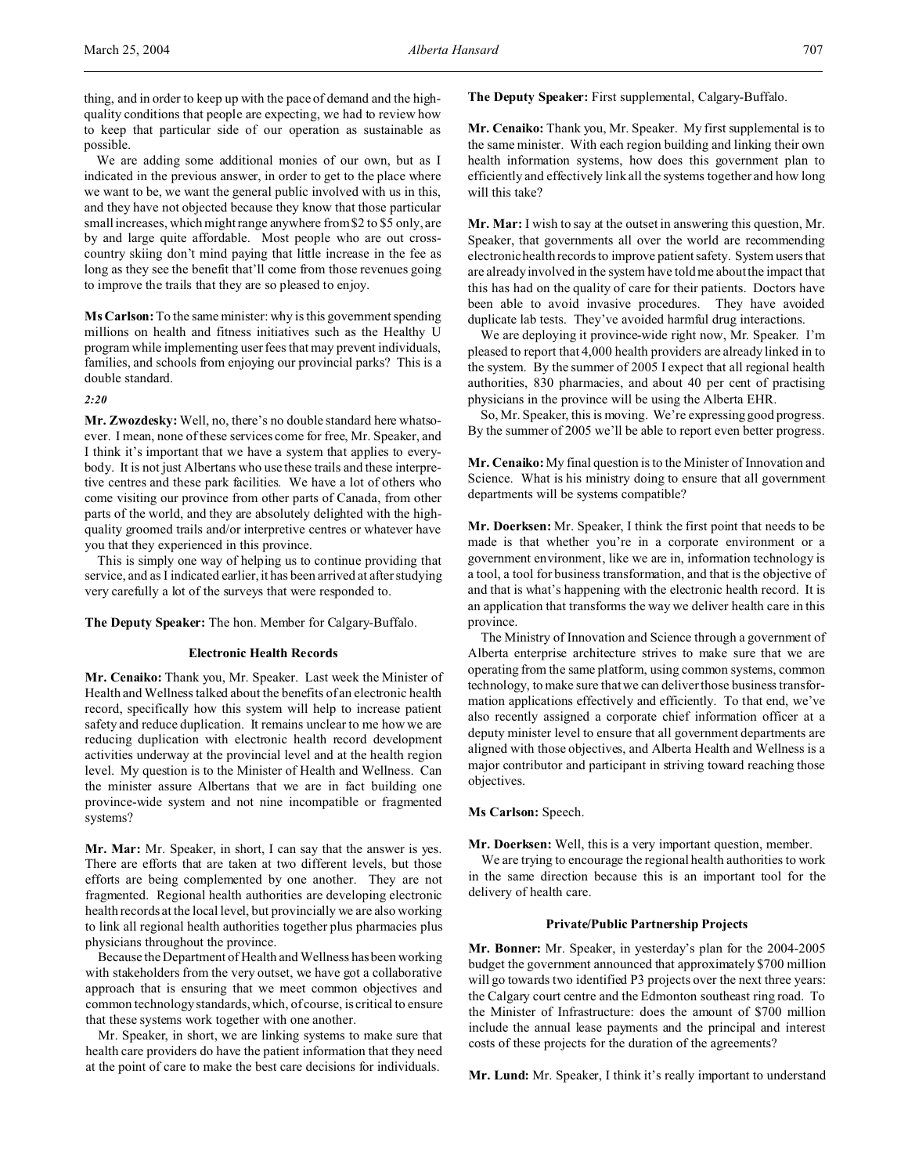We are adding some additional monies of our own, but as I indicated in the previous answer, in order to get to the place where we want to be, we want the general public involved with us in this, and they have not objected because they know that those particular small increases, which might range anywhere from \$2 to \$5 only, are by and large quite affordable. Most people who are out crosscountry skiing don't mind paying that little increase in the fee as long as they see the benefit that'll come from those revenues going to improve the trails that they are so pleased to enjoy.

**Ms Carlson:** To the same minister: why is this government spending millions on health and fitness initiatives such as the Healthy U program while implementing user fees that may prevent individuals, families, and schools from enjoying our provincial parks? This is a double standard.

## *2:20*

**Mr. Zwozdesky:** Well, no, there's no double standard here whatsoever. I mean, none of these services come for free, Mr. Speaker, and I think it's important that we have a system that applies to everybody. It is not just Albertans who use these trails and these interpretive centres and these park facilities. We have a lot of others who come visiting our province from other parts of Canada, from other parts of the world, and they are absolutely delighted with the highquality groomed trails and/or interpretive centres or whatever have you that they experienced in this province.

This is simply one way of helping us to continue providing that service, and as I indicated earlier, it has been arrived at after studying very carefully a lot of the surveys that were responded to.

**The Deputy Speaker:** The hon. Member for Calgary-Buffalo.

#### **Electronic Health Records**

**Mr. Cenaiko:** Thank you, Mr. Speaker. Last week the Minister of Health and Wellness talked about the benefits of an electronic health record, specifically how this system will help to increase patient safety and reduce duplication. It remains unclear to me how we are reducing duplication with electronic health record development activities underway at the provincial level and at the health region level. My question is to the Minister of Health and Wellness. Can the minister assure Albertans that we are in fact building one province-wide system and not nine incompatible or fragmented systems?

**Mr. Mar:** Mr. Speaker, in short, I can say that the answer is yes. There are efforts that are taken at two different levels, but those efforts are being complemented by one another. They are not fragmented. Regional health authorities are developing electronic health records at the local level, but provincially we are also working to link all regional health authorities together plus pharmacies plus physicians throughout the province.

Because the Department of Health and Wellness has been working with stakeholders from the very outset, we have got a collaborative approach that is ensuring that we meet common objectives and common technology standards, which, of course, is critical to ensure that these systems work together with one another.

Mr. Speaker, in short, we are linking systems to make sure that health care providers do have the patient information that they need at the point of care to make the best care decisions for individuals.

**The Deputy Speaker:** First supplemental, Calgary-Buffalo.

**Mr. Cenaiko:** Thank you, Mr. Speaker. My first supplemental is to the same minister. With each region building and linking their own health information systems, how does this government plan to efficiently and effectively link all the systems together and how long will this take?

**Mr. Mar:** I wish to say at the outset in answering this question, Mr. Speaker, that governments all over the world are recommending electronic health records to improve patient safety. System users that are already involved in the system have told me about the impact that this has had on the quality of care for their patients. Doctors have been able to avoid invasive procedures. They have avoided duplicate lab tests. They've avoided harmful drug interactions.

We are deploying it province-wide right now, Mr. Speaker. I'm pleased to report that 4,000 health providers are already linked in to the system. By the summer of 2005 I expect that all regional health authorities, 830 pharmacies, and about 40 per cent of practising physicians in the province will be using the Alberta EHR.

So, Mr. Speaker, this is moving. We're expressing good progress. By the summer of 2005 we'll be able to report even better progress.

**Mr. Cenaiko:** My final question is to the Minister of Innovation and Science. What is his ministry doing to ensure that all government departments will be systems compatible?

**Mr. Doerksen:** Mr. Speaker, I think the first point that needs to be made is that whether you're in a corporate environment or a government environment, like we are in, information technology is a tool, a tool for business transformation, and that is the objective of and that is what's happening with the electronic health record. It is an application that transforms the way we deliver health care in this province.

The Ministry of Innovation and Science through a government of Alberta enterprise architecture strives to make sure that we are operating from the same platform, using common systems, common technology, to make sure that we can deliver those business transformation applications effectively and efficiently. To that end, we've also recently assigned a corporate chief information officer at a deputy minister level to ensure that all government departments are aligned with those objectives, and Alberta Health and Wellness is a major contributor and participant in striving toward reaching those objectives.

### **Ms Carlson:** Speech.

**Mr. Doerksen:** Well, this is a very important question, member.

We are trying to encourage the regional health authorities to work in the same direction because this is an important tool for the delivery of health care.

### **Private/Public Partnership Projects**

**Mr. Bonner:** Mr. Speaker, in yesterday's plan for the 2004-2005 budget the government announced that approximately \$700 million will go towards two identified P3 projects over the next three years: the Calgary court centre and the Edmonton southeast ring road. To the Minister of Infrastructure: does the amount of \$700 million include the annual lease payments and the principal and interest costs of these projects for the duration of the agreements?

**Mr. Lund:** Mr. Speaker, I think it's really important to understand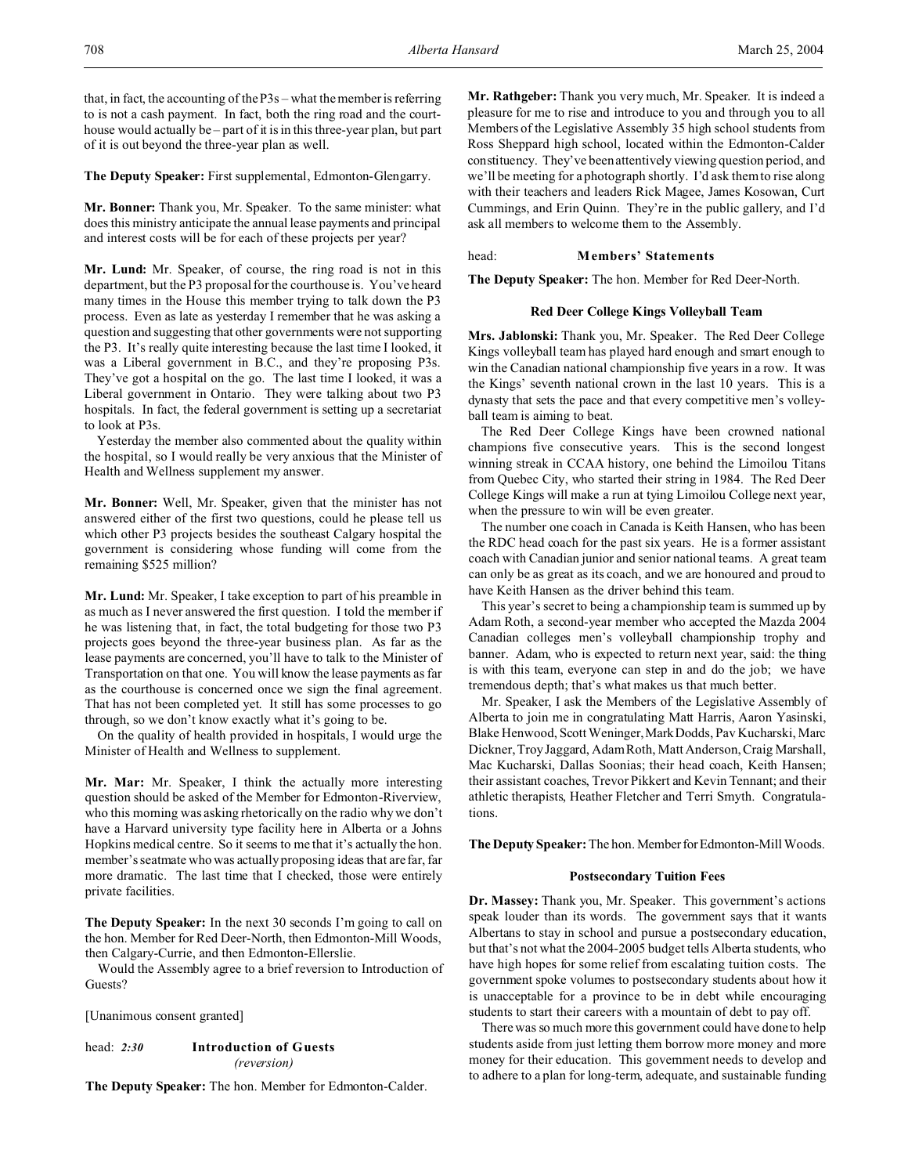that, in fact, the accounting of the P3s – what the member is referring to is not a cash payment. In fact, both the ring road and the courthouse would actually be – part of it is in this three-year plan, but part of it is out beyond the three-year plan as well.

**The Deputy Speaker:** First supplemental, Edmonton-Glengarry.

**Mr. Bonner:** Thank you, Mr. Speaker. To the same minister: what does this ministry anticipate the annual lease payments and principal and interest costs will be for each of these projects per year?

**Mr. Lund:** Mr. Speaker, of course, the ring road is not in this department, but the P3 proposal for the courthouse is. You've heard many times in the House this member trying to talk down the P3 process. Even as late as yesterday I remember that he was asking a question and suggesting that other governments were not supporting the P3. It's really quite interesting because the last time I looked, it was a Liberal government in B.C., and they're proposing P3s. They've got a hospital on the go. The last time I looked, it was a Liberal government in Ontario. They were talking about two P3 hospitals. In fact, the federal government is setting up a secretariat to look at P3s.

Yesterday the member also commented about the quality within the hospital, so I would really be very anxious that the Minister of Health and Wellness supplement my answer.

**Mr. Bonner:** Well, Mr. Speaker, given that the minister has not answered either of the first two questions, could he please tell us which other P3 projects besides the southeast Calgary hospital the government is considering whose funding will come from the remaining \$525 million?

**Mr. Lund:** Mr. Speaker, I take exception to part of his preamble in as much as I never answered the first question. I told the member if he was listening that, in fact, the total budgeting for those two P3 projects goes beyond the three-year business plan. As far as the lease payments are concerned, you'll have to talk to the Minister of Transportation on that one. You will know the lease payments as far as the courthouse is concerned once we sign the final agreement. That has not been completed yet. It still has some processes to go through, so we don't know exactly what it's going to be.

On the quality of health provided in hospitals, I would urge the Minister of Health and Wellness to supplement.

**Mr. Mar:** Mr. Speaker, I think the actually more interesting question should be asked of the Member for Edmonton-Riverview, who this morning was asking rhetorically on the radio why we don't have a Harvard university type facility here in Alberta or a Johns Hopkins medical centre. So it seems to me that it's actually the hon. member's seatmate who was actually proposing ideas that are far, far more dramatic. The last time that I checked, those were entirely private facilities.

**The Deputy Speaker:** In the next 30 seconds I'm going to call on the hon. Member for Red Deer-North, then Edmonton-Mill Woods, then Calgary-Currie, and then Edmonton-Ellerslie.

Would the Assembly agree to a brief reversion to Introduction of Guests?

[Unanimous consent granted]

head: *2:30* **Introduction of Guests** *(reversion)*

**The Deputy Speaker:** The hon. Member for Edmonton-Calder.

**Mr. Rathgeber:** Thank you very much, Mr. Speaker. It is indeed a pleasure for me to rise and introduce to you and through you to all Members of the Legislative Assembly 35 high school students from Ross Sheppard high school, located within the Edmonton-Calder constituency. They've been attentively viewing question period, and we'll be meeting for a photograph shortly. I'd ask them to rise along with their teachers and leaders Rick Magee, James Kosowan, Curt Cummings, and Erin Quinn. They're in the public gallery, and I'd ask all members to welcome them to the Assembly.

head: **Members' Statements**

**The Deputy Speaker:** The hon. Member for Red Deer-North.

### **Red Deer College Kings Volleyball Team**

**Mrs. Jablonski:** Thank you, Mr. Speaker. The Red Deer College Kings volleyball team has played hard enough and smart enough to win the Canadian national championship five years in a row. It was the Kings' seventh national crown in the last 10 years. This is a dynasty that sets the pace and that every competitive men's volleyball team is aiming to beat.

The Red Deer College Kings have been crowned national champions five consecutive years. This is the second longest winning streak in CCAA history, one behind the Limoilou Titans from Quebec City, who started their string in 1984. The Red Deer College Kings will make a run at tying Limoilou College next year, when the pressure to win will be even greater.

The number one coach in Canada is Keith Hansen, who has been the RDC head coach for the past six years. He is a former assistant coach with Canadian junior and senior national teams. A great team can only be as great as its coach, and we are honoured and proud to have Keith Hansen as the driver behind this team.

This year's secret to being a championship team is summed up by Adam Roth, a second-year member who accepted the Mazda 2004 Canadian colleges men's volleyball championship trophy and banner. Adam, who is expected to return next year, said: the thing is with this team, everyone can step in and do the job; we have tremendous depth; that's what makes us that much better.

Mr. Speaker, I ask the Members of the Legislative Assembly of Alberta to join me in congratulating Matt Harris, Aaron Yasinski, Blake Henwood, Scott Weninger,MarkDodds, Pav Kucharski, Marc Dickner, Troy Jaggard, Adam Roth, Matt Anderson, Craig Marshall, Mac Kucharski, Dallas Soonias; their head coach, Keith Hansen; their assistant coaches, Trevor Pikkert and Kevin Tennant; and their athletic therapists, Heather Fletcher and Terri Smyth. Congratulations.

**The Deputy Speaker:** The hon. MemberforEdmonton-Mill Woods.

## **Postsecondary Tuition Fees**

**Dr. Massey:** Thank you, Mr. Speaker. This government's actions speak louder than its words. The government says that it wants Albertans to stay in school and pursue a postsecondary education, but that's not what the 2004-2005 budget tells Alberta students, who have high hopes for some relief from escalating tuition costs. The government spoke volumes to postsecondary students about how it is unacceptable for a province to be in debt while encouraging students to start their careers with a mountain of debt to pay off.

There was so much more this government could have done to help students aside from just letting them borrow more money and more money for their education. This government needs to develop and to adhere to a plan for long-term, adequate, and sustainable funding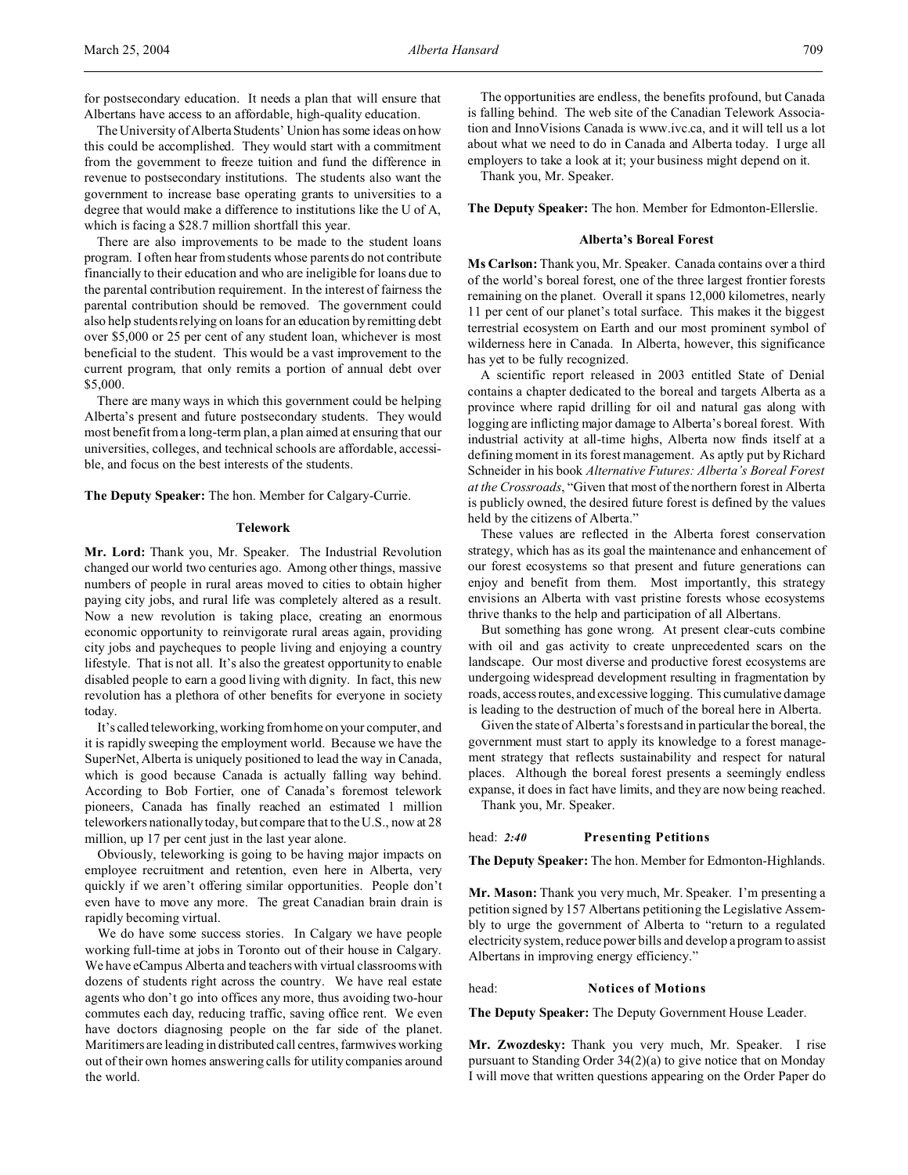for postsecondary education. It needs a plan that will ensure that Albertans have access to an affordable, high-quality education.

The University of Alberta Students' Union has some ideas on how this could be accomplished. They would start with a commitment from the government to freeze tuition and fund the difference in revenue to postsecondary institutions. The students also want the government to increase base operating grants to universities to a degree that would make a difference to institutions like the U of A, which is facing a \$28.7 million shortfall this year.

There are also improvements to be made to the student loans program. I often hear from students whose parents do not contribute financially to their education and who are ineligible for loans due to the parental contribution requirement. In the interest of fairness the parental contribution should be removed. The government could also help students relying on loans for an education by remitting debt over \$5,000 or 25 per cent of any student loan, whichever is most beneficial to the student. This would be a vast improvement to the current program, that only remits a portion of annual debt over \$5,000.

There are many ways in which this government could be helping Alberta's present and future postsecondary students. They would most benefit from a long-term plan, a plan aimed at ensuring that our universities, colleges, and technical schools are affordable, accessible, and focus on the best interests of the students.

**The Deputy Speaker:** The hon. Member for Calgary-Currie.

#### **Telework**

**Mr. Lord:** Thank you, Mr. Speaker. The Industrial Revolution changed our world two centuries ago. Among other things, massive numbers of people in rural areas moved to cities to obtain higher paying city jobs, and rural life was completely altered as a result. Now a new revolution is taking place, creating an enormous economic opportunity to reinvigorate rural areas again, providing city jobs and paycheques to people living and enjoying a country lifestyle. That is not all. It's also the greatest opportunity to enable disabled people to earn a good living with dignity. In fact, this new revolution has a plethora of other benefits for everyone in society today.

It's called teleworking, working from home on your computer, and it is rapidly sweeping the employment world. Because we have the SuperNet, Alberta is uniquely positioned to lead the way in Canada, which is good because Canada is actually falling way behind. According to Bob Fortier, one of Canada's foremost telework pioneers, Canada has finally reached an estimated 1 million teleworkers nationally today, but compare that to the U.S., now at 28 million, up 17 per cent just in the last year alone.

Obviously, teleworking is going to be having major impacts on employee recruitment and retention, even here in Alberta, very quickly if we aren't offering similar opportunities. People don't even have to move any more. The great Canadian brain drain is rapidly becoming virtual.

We do have some success stories. In Calgary we have people working full-time at jobs in Toronto out of their house in Calgary. We have eCampus Alberta and teachers with virtual classrooms with dozens of students right across the country. We have real estate agents who don't go into offices any more, thus avoiding two-hour commutes each day, reducing traffic, saving office rent. We even have doctors diagnosing people on the far side of the planet. Maritimers are leading in distributed call centres, farmwives working out of their own homes answering calls for utility companies around the world.

The opportunities are endless, the benefits profound, but Canada is falling behind. The web site of the Canadian Telework Association and InnoVisions Canada is www.ivc.ca, and it will tell us a lot about what we need to do in Canada and Alberta today. I urge all employers to take a look at it; your business might depend on it.

Thank you, Mr. Speaker.

**The Deputy Speaker:** The hon. Member for Edmonton-Ellerslie.

#### **Alberta's Boreal Forest**

**Ms Carlson:** Thank you, Mr. Speaker. Canada contains over a third of the world's boreal forest, one of the three largest frontier forests remaining on the planet. Overall it spans 12,000 kilometres, nearly 11 per cent of our planet's total surface. This makes it the biggest terrestrial ecosystem on Earth and our most prominent symbol of wilderness here in Canada. In Alberta, however, this significance has yet to be fully recognized.

A scientific report released in 2003 entitled State of Denial contains a chapter dedicated to the boreal and targets Alberta as a province where rapid drilling for oil and natural gas along with logging are inflicting major damage to Alberta's boreal forest. With industrial activity at all-time highs, Alberta now finds itself at a defining moment in its forest management. As aptly put by Richard Schneider in his book *Alternative Futures: Alberta's Boreal Forest at the Crossroads*, "Given that most of the northern forest in Alberta is publicly owned, the desired future forest is defined by the values held by the citizens of Alberta."

These values are reflected in the Alberta forest conservation strategy, which has as its goal the maintenance and enhancement of our forest ecosystems so that present and future generations can enjoy and benefit from them. Most importantly, this strategy envisions an Alberta with vast pristine forests whose ecosystems thrive thanks to the help and participation of all Albertans.

But something has gone wrong. At present clear-cuts combine with oil and gas activity to create unprecedented scars on the landscape. Our most diverse and productive forest ecosystems are undergoing widespread development resulting in fragmentation by roads, access routes, and excessive logging. This cumulative damage is leading to the destruction of much of the boreal here in Alberta.

Given the state of Alberta's forests and in particular the boreal, the government must start to apply its knowledge to a forest management strategy that reflects sustainability and respect for natural places. Although the boreal forest presents a seemingly endless expanse, it does in fact have limits, and they are now being reached.

Thank you, Mr. Speaker.

#### head: *2:40* **Presenting Petitions**

**The Deputy Speaker:** The hon. Member for Edmonton-Highlands.

**Mr. Mason:** Thank you very much, Mr. Speaker. I'm presenting a petition signed by 157 Albertans petitioning the Legislative Assembly to urge the government of Alberta to "return to a regulated electricity system, reduce power bills and develop a program to assist Albertans in improving energy efficiency."

## head: **Notices of Motions**

**The Deputy Speaker:** The Deputy Government House Leader.

**Mr. Zwozdesky:** Thank you very much, Mr. Speaker. I rise pursuant to Standing Order 34(2)(a) to give notice that on Monday I will move that written questions appearing on the Order Paper do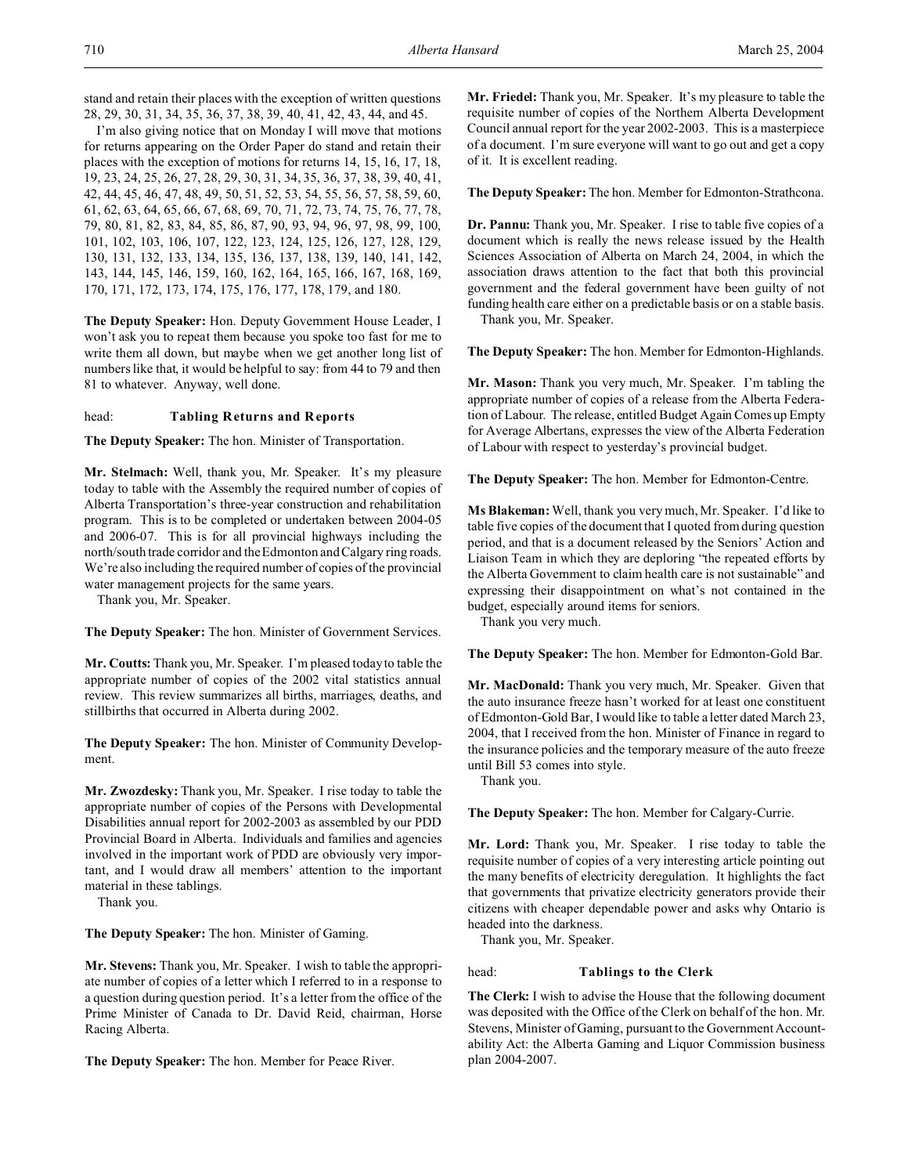stand and retain their places with the exception of written questions 28, 29, 30, 31, 34, 35, 36, 37, 38, 39, 40, 41, 42, 43, 44, and 45.

I'm also giving notice that on Monday I will move that motions for returns appearing on the Order Paper do stand and retain their places with the exception of motions for returns 14, 15, 16, 17, 18, 19, 23, 24, 25, 26, 27, 28, 29, 30, 31, 34, 35, 36, 37, 38, 39, 40, 41, 42, 44, 45, 46, 47, 48, 49, 50, 51, 52, 53, 54, 55, 56, 57, 58, 59, 60, 61, 62, 63, 64, 65, 66, 67, 68, 69, 70, 71, 72, 73, 74, 75, 76, 77, 78, 79, 80, 81, 82, 83, 84, 85, 86, 87, 90, 93, 94, 96, 97, 98, 99, 100, 101, 102, 103, 106, 107, 122, 123, 124, 125, 126, 127, 128, 129, 130, 131, 132, 133, 134, 135, 136, 137, 138, 139, 140, 141, 142, 143, 144, 145, 146, 159, 160, 162, 164, 165, 166, 167, 168, 169, 170, 171, 172, 173, 174, 175, 176, 177, 178, 179, and 180.

**The Deputy Speaker:** Hon. Deputy Government House Leader, I won't ask you to repeat them because you spoke too fast for me to write them all down, but maybe when we get another long list of numbers like that, it would be helpful to say: from 44 to 79 and then 81 to whatever. Anyway, well done.

head: **Tabling Returns and Reports**

**The Deputy Speaker:** The hon. Minister of Transportation.

**Mr. Stelmach:** Well, thank you, Mr. Speaker. It's my pleasure today to table with the Assembly the required number of copies of Alberta Transportation's three-year construction and rehabilitation program. This is to be completed or undertaken between 2004-05 and 2006-07. This is for all provincial highways including the north/south trade corridor and the Edmonton and Calgary ring roads. We're also including the required number of copies of the provincial water management projects for the same years.

Thank you, Mr. Speaker.

**The Deputy Speaker:** The hon. Minister of Government Services.

**Mr. Coutts:** Thank you, Mr. Speaker. I'm pleased today to table the appropriate number of copies of the 2002 vital statistics annual review. This review summarizes all births, marriages, deaths, and stillbirths that occurred in Alberta during 2002.

**The Deputy Speaker:** The hon. Minister of Community Development.

**Mr. Zwozdesky:** Thank you, Mr. Speaker. I rise today to table the appropriate number of copies of the Persons with Developmental Disabilities annual report for 2002-2003 as assembled by our PDD Provincial Board in Alberta. Individuals and families and agencies involved in the important work of PDD are obviously very important, and I would draw all members' attention to the important material in these tablings.

Thank you.

**The Deputy Speaker:** The hon. Minister of Gaming.

**Mr. Stevens:** Thank you, Mr. Speaker. I wish to table the appropriate number of copies of a letter which I referred to in a response to a question during question period. It's a letter from the office of the Prime Minister of Canada to Dr. David Reid, chairman, Horse Racing Alberta.

**The Deputy Speaker:** The hon. Member for Peace River.

**Mr. Friedel:** Thank you, Mr. Speaker. It's my pleasure to table the requisite number of copies of the Northern Alberta Development Council annual report for the year 2002-2003. This is a masterpiece of a document. I'm sure everyone will want to go out and get a copy of it. It is excellent reading.

**The Deputy Speaker:** The hon. Member for Edmonton-Strathcona.

**Dr. Pannu:** Thank you, Mr. Speaker. I rise to table five copies of a document which is really the news release issued by the Health Sciences Association of Alberta on March 24, 2004, in which the association draws attention to the fact that both this provincial government and the federal government have been guilty of not funding health care either on a predictable basis or on a stable basis.

Thank you, Mr. Speaker.

**The Deputy Speaker:** The hon. Member for Edmonton-Highlands.

**Mr. Mason:** Thank you very much, Mr. Speaker. I'm tabling the appropriate number of copies of a release from the Alberta Federation of Labour. The release, entitled Budget Again Comes up Empty for Average Albertans, expresses the view of the Alberta Federation of Labour with respect to yesterday's provincial budget.

**The Deputy Speaker:** The hon. Member for Edmonton-Centre.

**Ms Blakeman:** Well, thank you very much, Mr. Speaker. I'd like to table five copies of the document that I quoted from during question period, and that is a document released by the Seniors' Action and Liaison Team in which they are deploring "the repeated efforts by the Alberta Government to claim health care is not sustainable" and expressing their disappointment on what's not contained in the budget, especially around items for seniors.

Thank you very much.

**The Deputy Speaker:** The hon. Member for Edmonton-Gold Bar.

**Mr. MacDonald:** Thank you very much, Mr. Speaker. Given that the auto insurance freeze hasn't worked for at least one constituent of Edmonton-Gold Bar, I would like to table a letter dated March 23, 2004, that I received from the hon. Minister of Finance in regard to the insurance policies and the temporary measure of the auto freeze until Bill 53 comes into style.

Thank you.

**The Deputy Speaker:** The hon. Member for Calgary-Currie.

**Mr. Lord:** Thank you, Mr. Speaker. I rise today to table the requisite number of copies of a very interesting article pointing out the many benefits of electricity deregulation. It highlights the fact that governments that privatize electricity generators provide their citizens with cheaper dependable power and asks why Ontario is headed into the darkness.

Thank you, Mr. Speaker.

head: **Tablings to the Clerk**

**The Clerk:** I wish to advise the House that the following document was deposited with the Office of the Clerk on behalf of the hon. Mr. Stevens, Minister of Gaming, pursuant to the Government Accountability Act: the Alberta Gaming and Liquor Commission business plan 2004-2007.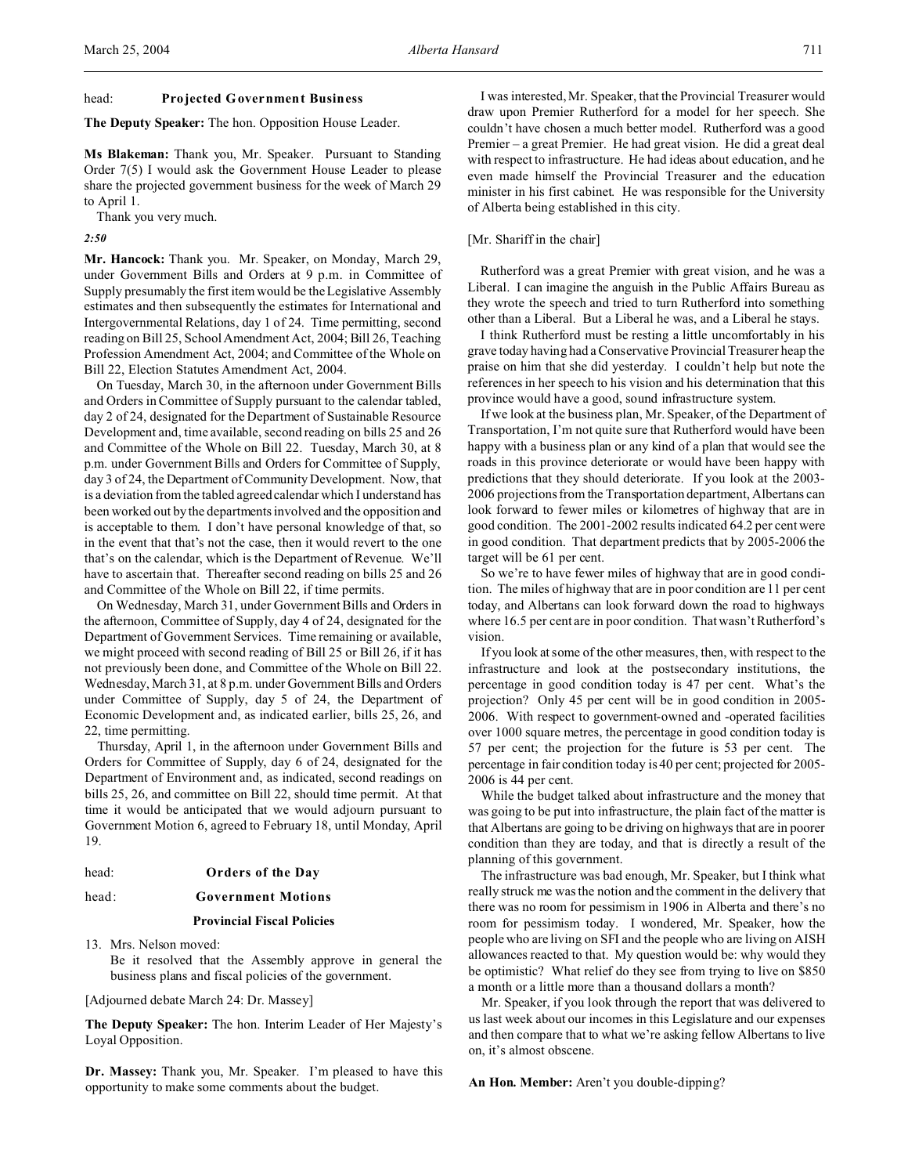#### head: **Projected Government Business**

**The Deputy Speaker:** The hon. Opposition House Leader.

**Ms Blakeman:** Thank you, Mr. Speaker. Pursuant to Standing Order 7(5) I would ask the Government House Leader to please share the projected government business for the week of March 29 to April 1.

Thank you very much.

*2:50*

**Mr. Hancock:** Thank you. Mr. Speaker, on Monday, March 29, under Government Bills and Orders at 9 p.m. in Committee of Supply presumably the first item would be the Legislative Assembly estimates and then subsequently the estimates for International and Intergovernmental Relations, day 1 of 24. Time permitting, second reading on Bill 25, School Amendment Act, 2004; Bill 26, Teaching Profession Amendment Act, 2004; and Committee of the Whole on Bill 22, Election Statutes Amendment Act, 2004.

On Tuesday, March 30, in the afternoon under Government Bills and Orders in Committee of Supply pursuant to the calendar tabled, day 2 of 24, designated for the Department of Sustainable Resource Development and, time available, second reading on bills 25 and 26 and Committee of the Whole on Bill 22. Tuesday, March 30, at 8 p.m. under Government Bills and Orders for Committee of Supply, day 3 of 24, the Department of Community Development. Now, that is a deviation from the tabled agreed calendar which I understand has been worked out by the departments involved and the opposition and is acceptable to them. I don't have personal knowledge of that, so in the event that that's not the case, then it would revert to the one that's on the calendar, which is the Department of Revenue. We'll have to ascertain that. Thereafter second reading on bills 25 and 26 and Committee of the Whole on Bill 22, if time permits.

On Wednesday, March 31, under Government Bills and Orders in the afternoon, Committee of Supply, day 4 of 24, designated for the Department of Government Services. Time remaining or available, we might proceed with second reading of Bill 25 or Bill 26, if it has not previously been done, and Committee of the Whole on Bill 22. Wednesday, March 31, at 8 p.m. under Government Bills and Orders under Committee of Supply, day 5 of 24, the Department of Economic Development and, as indicated earlier, bills 25, 26, and 22, time permitting.

Thursday, April 1, in the afternoon under Government Bills and Orders for Committee of Supply, day 6 of 24, designated for the Department of Environment and, as indicated, second readings on bills 25, 26, and committee on Bill 22, should time permit. At that time it would be anticipated that we would adjourn pursuant to Government Motion 6, agreed to February 18, until Monday, April 19.

#### head: **Orders of the Day**

#### head: **Government Motions**

#### **Provincial Fiscal Policies**

13. Mrs. Nelson moved: Be it resolved that the Assembly approve in general the business plans and fiscal policies of the government.

[Adjourned debate March 24: Dr. Massey]

**The Deputy Speaker:** The hon. Interim Leader of Her Majesty's Loyal Opposition.

**Dr. Massey:** Thank you, Mr. Speaker. I'm pleased to have this opportunity to make some comments about the budget.

I was interested, Mr. Speaker, that the Provincial Treasurer would draw upon Premier Rutherford for a model for her speech. She couldn't have chosen a much better model. Rutherford was a good Premier – a great Premier. He had great vision. He did a great deal with respect to infrastructure. He had ideas about education, and he even made himself the Provincial Treasurer and the education minister in his first cabinet. He was responsible for the University of Alberta being established in this city.

#### [Mr. Shariff in the chair]

Rutherford was a great Premier with great vision, and he was a Liberal. I can imagine the anguish in the Public Affairs Bureau as they wrote the speech and tried to turn Rutherford into something other than a Liberal. But a Liberal he was, and a Liberal he stays.

I think Rutherford must be resting a little uncomfortably in his grave today having had a Conservative Provincial Treasurer heap the praise on him that she did yesterday. I couldn't help but note the references in her speech to his vision and his determination that this province would have a good, sound infrastructure system.

If we look at the business plan, Mr. Speaker, of the Department of Transportation, I'm not quite sure that Rutherford would have been happy with a business plan or any kind of a plan that would see the roads in this province deteriorate or would have been happy with predictions that they should deteriorate. If you look at the 2003- 2006 projections from the Transportation department, Albertans can look forward to fewer miles or kilometres of highway that are in good condition. The 2001-2002 results indicated 64.2 per cent were in good condition. That department predicts that by 2005-2006 the target will be 61 per cent.

So we're to have fewer miles of highway that are in good condition. The miles of highway that are in poor condition are 11 per cent today, and Albertans can look forward down the road to highways where 16.5 per cent are in poor condition. That wasn't Rutherford's vision.

If you look at some of the other measures, then, with respect to the infrastructure and look at the postsecondary institutions, the percentage in good condition today is 47 per cent. What's the projection? Only 45 per cent will be in good condition in 2005- 2006. With respect to government-owned and -operated facilities over 1000 square metres, the percentage in good condition today is 57 per cent; the projection for the future is 53 per cent. The percentage in fair condition today is 40 per cent; projected for 2005- 2006 is 44 per cent.

While the budget talked about infrastructure and the money that was going to be put into infrastructure, the plain fact of the matter is that Albertans are going to be driving on highways that are in poorer condition than they are today, and that is directly a result of the planning of this government.

The infrastructure was bad enough, Mr. Speaker, but I think what really struck me was the notion and the comment in the delivery that there was no room for pessimism in 1906 in Alberta and there's no room for pessimism today. I wondered, Mr. Speaker, how the people who are living on SFI and the people who are living on AISH allowances reacted to that. My question would be: why would they be optimistic? What relief do they see from trying to live on \$850 a month or a little more than a thousand dollars a month?

Mr. Speaker, if you look through the report that was delivered to us last week about our incomes in this Legislature and our expenses and then compare that to what we're asking fellow Albertans to live on, it's almost obscene.

**An Hon. Member:** Aren't you double-dipping?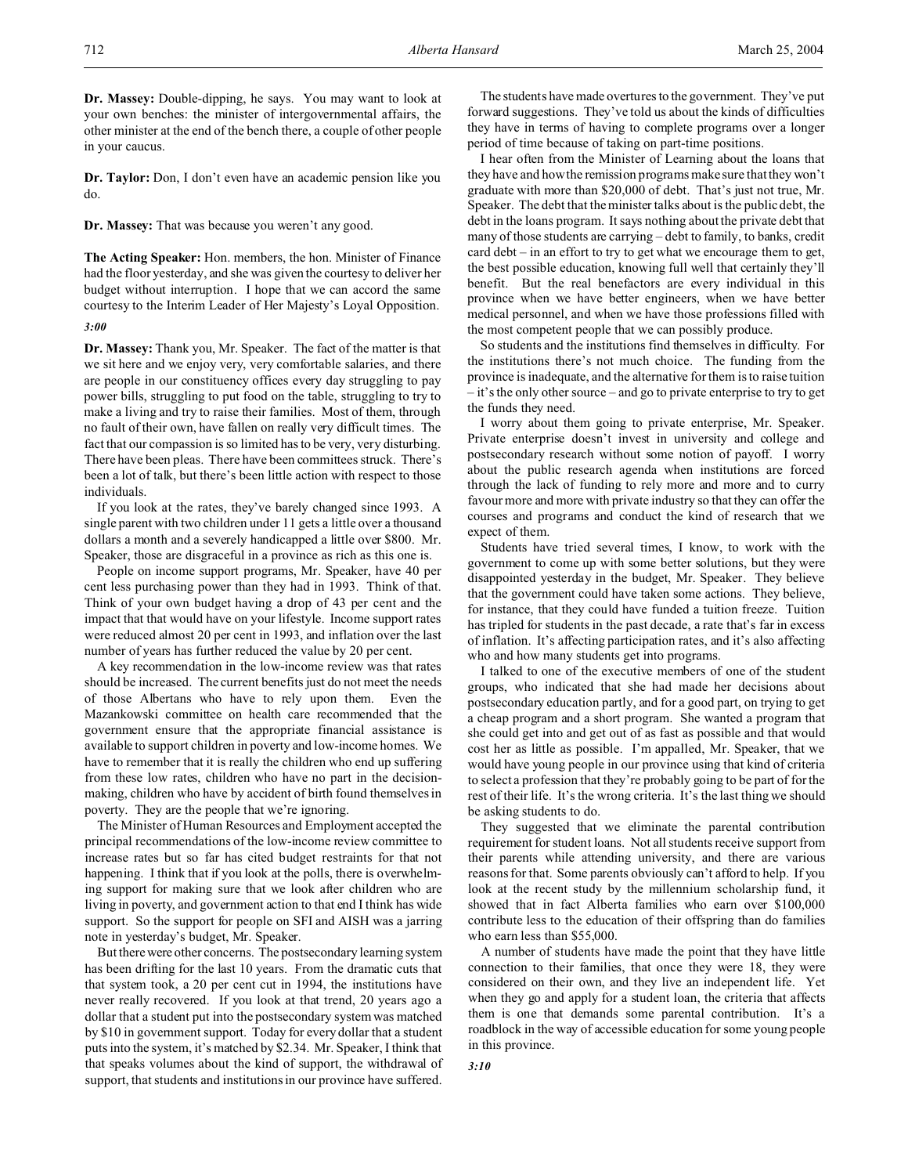**Dr. Massey:** Double-dipping, he says. You may want to look at your own benches: the minister of intergovernmental affairs, the other minister at the end of the bench there, a couple of other people in your caucus.

**Dr. Taylor:** Don, I don't even have an academic pension like you do.

**Dr. Massey:** That was because you weren't any good.

**The Acting Speaker:** Hon. members, the hon. Minister of Finance had the floor yesterday, and she was given the courtesy to deliver her budget without interruption. I hope that we can accord the same courtesy to the Interim Leader of Her Majesty's Loyal Opposition.

#### *3:00*

**Dr. Massey:** Thank you, Mr. Speaker. The fact of the matter is that we sit here and we enjoy very, very comfortable salaries, and there are people in our constituency offices every day struggling to pay power bills, struggling to put food on the table, struggling to try to make a living and try to raise their families. Most of them, through no fault of their own, have fallen on really very difficult times. The fact that our compassion is so limited has to be very, very disturbing. There have been pleas. There have been committees struck. There's been a lot of talk, but there's been little action with respect to those individuals.

If you look at the rates, they've barely changed since 1993. A single parent with two children under 11 gets a little over a thousand dollars a month and a severely handicapped a little over \$800. Mr. Speaker, those are disgraceful in a province as rich as this one is.

People on income support programs, Mr. Speaker, have 40 per cent less purchasing power than they had in 1993. Think of that. Think of your own budget having a drop of 43 per cent and the impact that that would have on your lifestyle. Income support rates were reduced almost 20 per cent in 1993, and inflation over the last number of years has further reduced the value by 20 per cent.

A key recommendation in the low-income review was that rates should be increased. The current benefits just do not meet the needs of those Albertans who have to rely upon them. Even the Mazankowski committee on health care recommended that the government ensure that the appropriate financial assistance is available to support children in poverty and low-income homes. We have to remember that it is really the children who end up suffering from these low rates, children who have no part in the decisionmaking, children who have by accident of birth found themselves in poverty. They are the people that we're ignoring.

The Minister of Human Resources and Employment accepted the principal recommendations of the low-income review committee to increase rates but so far has cited budget restraints for that not happening. I think that if you look at the polls, there is overwhelming support for making sure that we look after children who are living in poverty, and government action to that end I think has wide support. So the support for people on SFI and AISH was a jarring note in yesterday's budget, Mr. Speaker.

But therewere other concerns. The postsecondary learning system has been drifting for the last 10 years. From the dramatic cuts that that system took, a 20 per cent cut in 1994, the institutions have never really recovered. If you look at that trend, 20 years ago a dollar that a student put into the postsecondary system was matched by \$10 in government support. Today for every dollar that a student puts into the system, it's matched by \$2.34. Mr. Speaker, I think that that speaks volumes about the kind of support, the withdrawal of support, that students and institutions in our province have suffered.

The students have made overtures to the government. They've put forward suggestions. They've told us about the kinds of difficulties they have in terms of having to complete programs over a longer period of time because of taking on part-time positions.

I hear often from the Minister of Learning about the loans that they have and how the remission programs make sure that they won't graduate with more than \$20,000 of debt. That's just not true, Mr. Speaker. The debt that the minister talks about is the public debt, the debt in the loans program. It says nothing about the private debt that many of those students are carrying – debt to family, to banks, credit card debt – in an effort to try to get what we encourage them to get, the best possible education, knowing full well that certainly they'll benefit. But the real benefactors are every individual in this province when we have better engineers, when we have better medical personnel, and when we have those professions filled with the most competent people that we can possibly produce.

So students and the institutions find themselves in difficulty. For the institutions there's not much choice. The funding from the province is inadequate, and the alternative for them is to raise tuition – it's the only other source – and go to private enterprise to try to get the funds they need.

I worry about them going to private enterprise, Mr. Speaker. Private enterprise doesn't invest in university and college and postsecondary research without some notion of payoff. I worry about the public research agenda when institutions are forced through the lack of funding to rely more and more and to curry favour more and more with private industry so that they can offer the courses and programs and conduct the kind of research that we expect of them.

Students have tried several times, I know, to work with the government to come up with some better solutions, but they were disappointed yesterday in the budget, Mr. Speaker. They believe that the government could have taken some actions. They believe, for instance, that they could have funded a tuition freeze. Tuition has tripled for students in the past decade, a rate that's far in excess of inflation. It's affecting participation rates, and it's also affecting who and how many students get into programs.

I talked to one of the executive members of one of the student groups, who indicated that she had made her decisions about postsecondary education partly, and for a good part, on trying to get a cheap program and a short program. She wanted a program that she could get into and get out of as fast as possible and that would cost her as little as possible. I'm appalled, Mr. Speaker, that we would have young people in our province using that kind of criteria to select a profession that they're probably going to be part of for the rest of their life. It's the wrong criteria. It's the last thing we should be asking students to do.

They suggested that we eliminate the parental contribution requirement for student loans. Not all students receive support from their parents while attending university, and there are various reasons for that. Some parents obviously can't afford to help. If you look at the recent study by the millennium scholarship fund, it showed that in fact Alberta families who earn over \$100,000 contribute less to the education of their offspring than do families who earn less than \$55,000.

A number of students have made the point that they have little connection to their families, that once they were 18, they were considered on their own, and they live an independent life. Yet when they go and apply for a student loan, the criteria that affects them is one that demands some parental contribution. It's a roadblock in the way of accessible education for some young people in this province.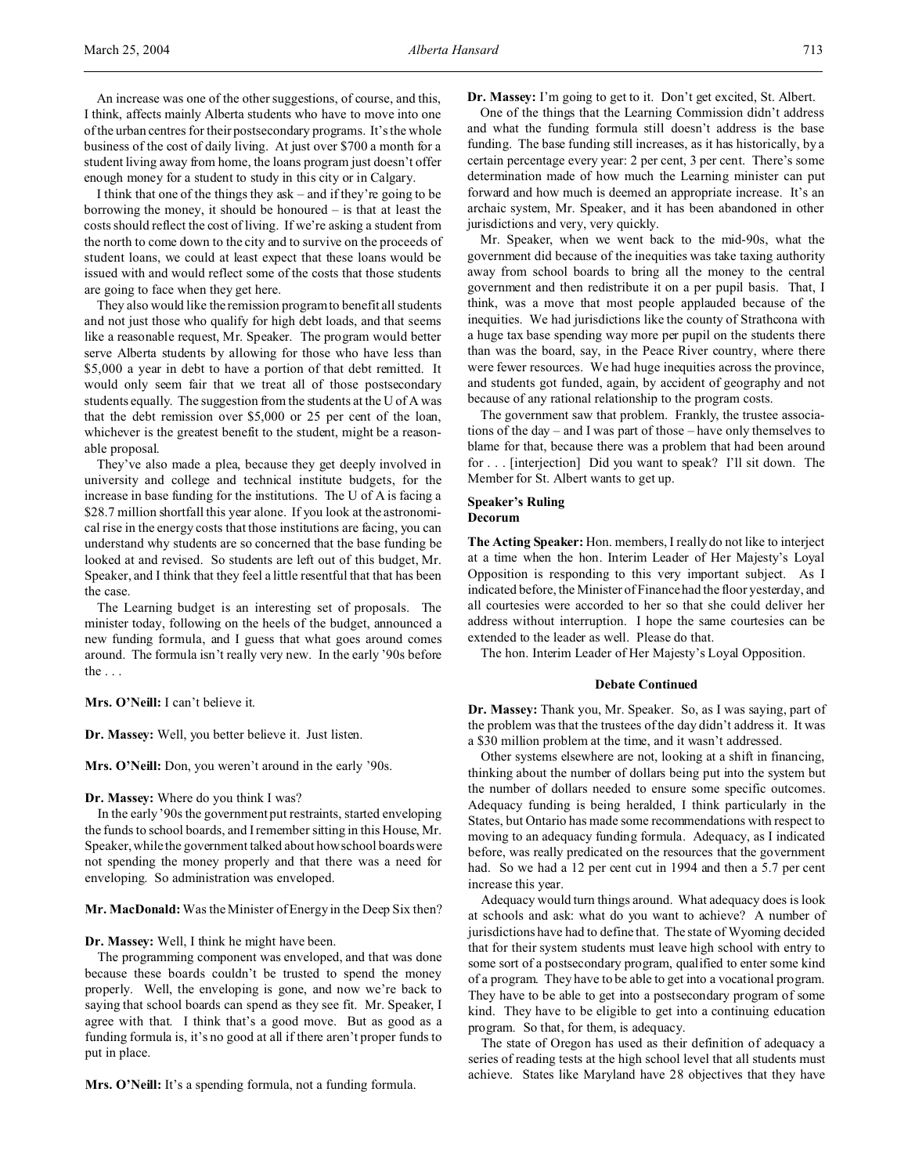I think that one of the things they ask – and if they're going to be borrowing the money, it should be honoured – is that at least the costs should reflect the cost of living. If we're asking a student from the north to come down to the city and to survive on the proceeds of student loans, we could at least expect that these loans would be issued with and would reflect some of the costs that those students are going to face when they get here.

They also would like the remission program to benefit all students and not just those who qualify for high debt loads, and that seems like a reasonable request, Mr. Speaker. The program would better serve Alberta students by allowing for those who have less than \$5,000 a year in debt to have a portion of that debt remitted. It would only seem fair that we treat all of those postsecondary students equally. The suggestion from the students at the U of A was that the debt remission over \$5,000 or 25 per cent of the loan, whichever is the greatest benefit to the student, might be a reasonable proposal.

They've also made a plea, because they get deeply involved in university and college and technical institute budgets, for the increase in base funding for the institutions. The U of A is facing a \$28.7 million shortfall this year alone. If you look at the astronomical rise in the energy costs that those institutions are facing, you can understand why students are so concerned that the base funding be looked at and revised. So students are left out of this budget, Mr. Speaker, and I think that they feel a little resentful that that has been the case.

The Learning budget is an interesting set of proposals. The minister today, following on the heels of the budget, announced a new funding formula, and I guess that what goes around comes around. The formula isn't really very new. In the early '90s before the  $\ldots$ 

**Mrs. O'Neill:** I can't believe it.

**Dr. Massey:** Well, you better believe it. Just listen.

**Mrs. O'Neill:** Don, you weren't around in the early '90s.

**Dr. Massey:** Where do you think I was?

In the early '90s the government put restraints, started enveloping the funds to school boards, and I remember sitting in this House, Mr. Speaker, while the government talked about how school boards were not spending the money properly and that there was a need for enveloping. So administration was enveloped.

**Mr. MacDonald:** Was the Minister of Energy in the Deep Six then?

**Dr. Massey:** Well, I think he might have been.

The programming component was enveloped, and that was done because these boards couldn't be trusted to spend the money properly. Well, the enveloping is gone, and now we're back to saying that school boards can spend as they see fit. Mr. Speaker, I agree with that. I think that's a good move. But as good as a funding formula is, it's no good at all if there aren't proper funds to put in place.

**Mrs. O'Neill:** It's a spending formula, not a funding formula.

**Dr. Massey:** I'm going to get to it. Don't get excited, St. Albert.

One of the things that the Learning Commission didn't address and what the funding formula still doesn't address is the base funding. The base funding still increases, as it has historically, by a certain percentage every year: 2 per cent, 3 per cent. There's some determination made of how much the Learning minister can put forward and how much is deemed an appropriate increase. It's an archaic system, Mr. Speaker, and it has been abandoned in other jurisdictions and very, very quickly.

Mr. Speaker, when we went back to the mid-90s, what the government did because of the inequities was take taxing authority away from school boards to bring all the money to the central government and then redistribute it on a per pupil basis. That, I think, was a move that most people applauded because of the inequities. We had jurisdictions like the county of Strathcona with a huge tax base spending way more per pupil on the students there than was the board, say, in the Peace River country, where there were fewer resources. We had huge inequities across the province, and students got funded, again, by accident of geography and not because of any rational relationship to the program costs.

The government saw that problem. Frankly, the trustee associations of the day – and I was part of those – have only themselves to blame for that, because there was a problem that had been around for . . . [interjection] Did you want to speak? I'll sit down. The Member for St. Albert wants to get up.

## **Speaker's Ruling Decorum**

**The Acting Speaker:** Hon. members, I really do not like to interject at a time when the hon. Interim Leader of Her Majesty's Loyal Opposition is responding to this very important subject. As I indicated before, the Minister of Finance had the floor yesterday, and all courtesies were accorded to her so that she could deliver her address without interruption. I hope the same courtesies can be extended to the leader as well. Please do that.

The hon. Interim Leader of Her Majesty's Loyal Opposition.

#### **Debate Continued**

**Dr. Massey:** Thank you, Mr. Speaker. So, as I was saying, part of the problem was that the trustees of the day didn't address it. It was a \$30 million problem at the time, and it wasn't addressed.

Other systems elsewhere are not, looking at a shift in financing, thinking about the number of dollars being put into the system but the number of dollars needed to ensure some specific outcomes. Adequacy funding is being heralded, I think particularly in the States, but Ontario has made some recommendations with respect to moving to an adequacy funding formula. Adequacy, as I indicated before, was really predicated on the resources that the government had. So we had a 12 per cent cut in 1994 and then a 5.7 per cent increase this year.

Adequacy would turn things around. What adequacy does is look at schools and ask: what do you want to achieve? A number of jurisdictions have had to define that. The state of Wyoming decided that for their system students must leave high school with entry to some sort of a postsecondary program, qualified to enter some kind of a program. They have to be able to get into a vocational program. They have to be able to get into a postsecondary program of some kind. They have to be eligible to get into a continuing education program. So that, for them, is adequacy.

The state of Oregon has used as their definition of adequacy a series of reading tests at the high school level that all students must achieve. States like Maryland have 28 objectives that they have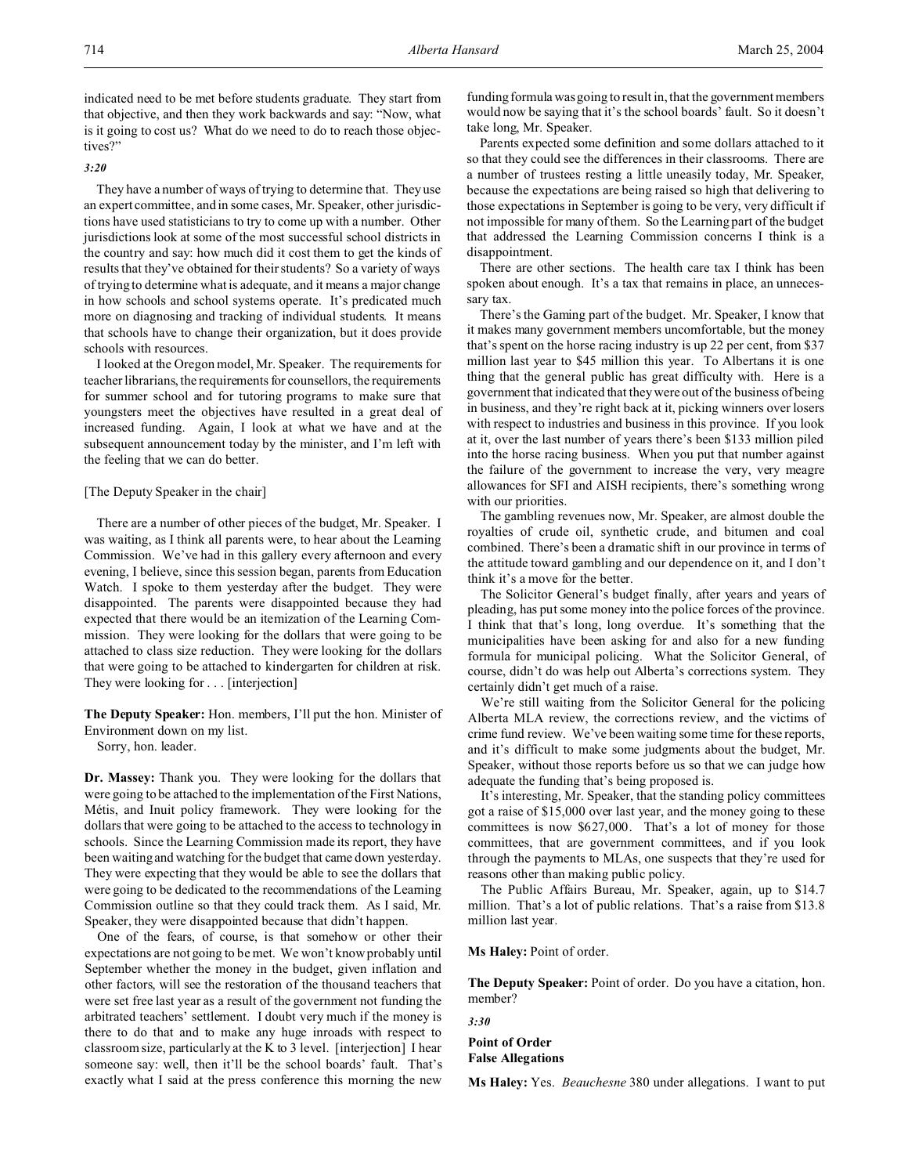indicated need to be met before students graduate. They start from that objective, and then they work backwards and say: "Now, what is it going to cost us? What do we need to do to reach those objectives?"

## *3:20*

They have a number of ways of trying to determine that. They use an expert committee, and in some cases, Mr. Speaker, other jurisdictions have used statisticians to try to come up with a number. Other jurisdictions look at some of the most successful school districts in the country and say: how much did it cost them to get the kinds of results that they've obtained for their students? So a variety of ways of trying to determine what is adequate, and it means a major change in how schools and school systems operate. It's predicated much more on diagnosing and tracking of individual students. It means that schools have to change their organization, but it does provide schools with resources.

I looked at the Oregon model, Mr. Speaker. The requirements for teacher librarians, the requirements for counsellors, the requirements for summer school and for tutoring programs to make sure that youngsters meet the objectives have resulted in a great deal of increased funding. Again, I look at what we have and at the subsequent announcement today by the minister, and I'm left with the feeling that we can do better.

#### [The Deputy Speaker in the chair]

There are a number of other pieces of the budget, Mr. Speaker. I was waiting, as I think all parents were, to hear about the Learning Commission. We've had in this gallery every afternoon and every evening, I believe, since this session began, parents from Education Watch. I spoke to them yesterday after the budget. They were disappointed. The parents were disappointed because they had expected that there would be an itemization of the Learning Commission. They were looking for the dollars that were going to be attached to class size reduction. They were looking for the dollars that were going to be attached to kindergarten for children at risk. They were looking for . . . [interjection]

**The Deputy Speaker:** Hon. members, I'll put the hon. Minister of Environment down on my list.

Sorry, hon. leader.

**Dr. Massey:** Thank you. They were looking for the dollars that were going to be attached to the implementation of the First Nations, Métis, and Inuit policy framework. They were looking for the dollars that were going to be attached to the access to technology in schools. Since the Learning Commission made its report, they have been waiting and watching for the budget that came down yesterday. They were expecting that they would be able to see the dollars that were going to be dedicated to the recommendations of the Learning Commission outline so that they could track them. As I said, Mr. Speaker, they were disappointed because that didn't happen.

One of the fears, of course, is that somehow or other their expectations are not going to be met. We won't know probably until September whether the money in the budget, given inflation and other factors, will see the restoration of the thousand teachers that were set free last year as a result of the government not funding the arbitrated teachers' settlement. I doubt very much if the money is there to do that and to make any huge inroads with respect to classroom size, particularly at the K to 3 level. [interjection] I hear someone say: well, then it'll be the school boards' fault. That's exactly what I said at the press conference this morning the new funding formula was going to result in, that the government members would now be saying that it's the school boards' fault. So it doesn't take long, Mr. Speaker.

Parents expected some definition and some dollars attached to it so that they could see the differences in their classrooms. There are a number of trustees resting a little uneasily today, Mr. Speaker, because the expectations are being raised so high that delivering to those expectations in September is going to be very, very difficult if not impossible for many of them. So the Learning part of the budget that addressed the Learning Commission concerns I think is a disappointment.

There are other sections. The health care tax I think has been spoken about enough. It's a tax that remains in place, an unnecessary tax.

There's the Gaming part of the budget. Mr. Speaker, I know that it makes many government members uncomfortable, but the money that's spent on the horse racing industry is up 22 per cent, from \$37 million last year to \$45 million this year. To Albertans it is one thing that the general public has great difficulty with. Here is a government that indicated that they were out of the business of being in business, and they're right back at it, picking winners over losers with respect to industries and business in this province. If you look at it, over the last number of years there's been \$133 million piled into the horse racing business. When you put that number against the failure of the government to increase the very, very meagre allowances for SFI and AISH recipients, there's something wrong with our priorities.

The gambling revenues now, Mr. Speaker, are almost double the royalties of crude oil, synthetic crude, and bitumen and coal combined. There's been a dramatic shift in our province in terms of the attitude toward gambling and our dependence on it, and I don't think it's a move for the better.

The Solicitor General's budget finally, after years and years of pleading, has put some money into the police forces of the province. I think that that's long, long overdue. It's something that the municipalities have been asking for and also for a new funding formula for municipal policing. What the Solicitor General, of course, didn't do was help out Alberta's corrections system. They certainly didn't get much of a raise.

We're still waiting from the Solicitor General for the policing Alberta MLA review, the corrections review, and the victims of crime fund review. We've been waiting some time for these reports, and it's difficult to make some judgments about the budget, Mr. Speaker, without those reports before us so that we can judge how adequate the funding that's being proposed is.

It's interesting, Mr. Speaker, that the standing policy committees got a raise of \$15,000 over last year, and the money going to these committees is now \$627,000. That's a lot of money for those committees, that are government committees, and if you look through the payments to MLAs, one suspects that they're used for reasons other than making public policy.

The Public Affairs Bureau, Mr. Speaker, again, up to \$14.7 million. That's a lot of public relations. That's a raise from \$13.8 million last year.

## **Ms Haley:** Point of order.

**The Deputy Speaker:** Point of order. Do you have a citation, hon. member?

*3:30*

**Point of Order False Allegations**

**Ms Haley:** Yes. *Beauchesne* 380 under allegations. I want to put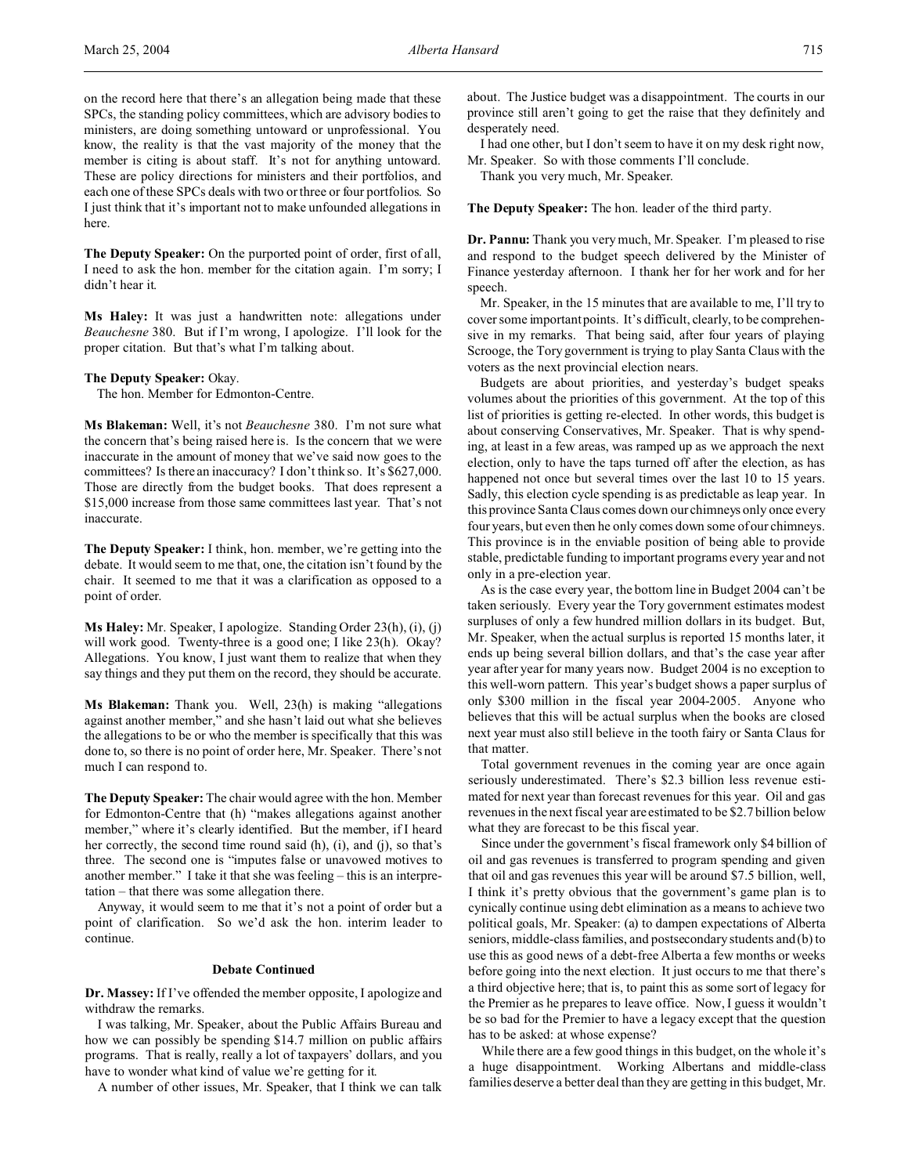**The Deputy Speaker:** On the purported point of order, first of all, I need to ask the hon. member for the citation again. I'm sorry; I didn't hear it.

**Ms Haley:** It was just a handwritten note: allegations under *Beauchesne* 380. But if I'm wrong, I apologize. I'll look for the proper citation. But that's what I'm talking about.

#### **The Deputy Speaker:** Okay.

The hon. Member for Edmonton-Centre.

**Ms Blakeman:** Well, it's not *Beauchesne* 380. I'm not sure what the concern that's being raised here is. Is the concern that we were inaccurate in the amount of money that we've said now goes to the committees? Is there an inaccuracy? I don't think so. It's \$627,000. Those are directly from the budget books. That does represent a \$15,000 increase from those same committees last year. That's not inaccurate.

**The Deputy Speaker:** I think, hon. member, we're getting into the debate. It would seem to me that, one, the citation isn't found by the chair. It seemed to me that it was a clarification as opposed to a point of order.

**Ms Haley:** Mr. Speaker, I apologize. Standing Order 23(h), (i), (j) will work good. Twenty-three is a good one; I like 23(h). Okay? Allegations. You know, I just want them to realize that when they say things and they put them on the record, they should be accurate.

**Ms Blakeman:** Thank you. Well, 23(h) is making "allegations against another member," and she hasn't laid out what she believes the allegations to be or who the member is specifically that this was done to, so there is no point of order here, Mr. Speaker. There's not much I can respond to.

**The Deputy Speaker:** The chair would agree with the hon. Member for Edmonton-Centre that (h) "makes allegations against another member," where it's clearly identified. But the member, if I heard her correctly, the second time round said (h), (i), and (j), so that's three. The second one is "imputes false or unavowed motives to another member." I take it that she was feeling – this is an interpretation – that there was some allegation there.

Anyway, it would seem to me that it's not a point of order but a point of clarification. So we'd ask the hon. interim leader to continue.

#### **Debate Continued**

**Dr. Massey:** If I've offended the member opposite, I apologize and withdraw the remarks.

I was talking, Mr. Speaker, about the Public Affairs Bureau and how we can possibly be spending \$14.7 million on public affairs programs. That is really, really a lot of taxpayers' dollars, and you have to wonder what kind of value we're getting for it.

A number of other issues, Mr. Speaker, that I think we can talk

about. The Justice budget was a disappointment. The courts in our province still aren't going to get the raise that they definitely and desperately need.

I had one other, but I don't seem to have it on my desk right now, Mr. Speaker. So with those comments I'll conclude.

Thank you very much, Mr. Speaker.

**The Deputy Speaker:** The hon. leader of the third party.

**Dr. Pannu:** Thank you very much, Mr. Speaker. I'm pleased to rise and respond to the budget speech delivered by the Minister of Finance yesterday afternoon. I thank her for her work and for her speech.

Mr. Speaker, in the 15 minutes that are available to me, I'll try to cover some important points. It's difficult, clearly, to be comprehensive in my remarks. That being said, after four years of playing Scrooge, the Tory government is trying to play Santa Claus with the voters as the next provincial election nears.

Budgets are about priorities, and yesterday's budget speaks volumes about the priorities of this government. At the top of this list of priorities is getting re-elected. In other words, this budget is about conserving Conservatives, Mr. Speaker. That is why spending, at least in a few areas, was ramped up as we approach the next election, only to have the taps turned off after the election, as has happened not once but several times over the last 10 to 15 years. Sadly, this election cycle spending is as predictable as leap year. In this province Santa Claus comes down our chimneys only once every four years, but even then he only comes down some of our chimneys. This province is in the enviable position of being able to provide stable, predictable funding to important programs every year and not only in a pre-election year.

As is the case every year, the bottom line in Budget 2004 can't be taken seriously. Every year the Tory government estimates modest surpluses of only a few hundred million dollars in its budget. But, Mr. Speaker, when the actual surplus is reported 15 months later, it ends up being several billion dollars, and that's the case year after year after year for many years now. Budget 2004 is no exception to this well-worn pattern. This year's budget shows a paper surplus of only \$300 million in the fiscal year 2004-2005. Anyone who believes that this will be actual surplus when the books are closed next year must also still believe in the tooth fairy or Santa Claus for that matter.

Total government revenues in the coming year are once again seriously underestimated. There's \$2.3 billion less revenue estimated for next year than forecast revenues for this year. Oil and gas revenues in the next fiscal year are estimated to be \$2.7 billion below what they are forecast to be this fiscal year.

Since under the government's fiscal framework only \$4 billion of oil and gas revenues is transferred to program spending and given that oil and gas revenues this year will be around \$7.5 billion, well, I think it's pretty obvious that the government's game plan is to cynically continue using debt elimination as a means to achieve two political goals, Mr. Speaker: (a) to dampen expectations of Alberta seniors, middle-class families, and postsecondary students and (b) to use this as good news of a debt-free Alberta a few months or weeks before going into the next election. It just occurs to me that there's a third objective here; that is, to paint this as some sort of legacy for the Premier as he prepares to leave office. Now, I guess it wouldn't be so bad for the Premier to have a legacy except that the question has to be asked: at whose expense?

While there are a few good things in this budget, on the whole it's a huge disappointment. Working Albertans and middle-class families deserve a better deal than they are getting in this budget, Mr.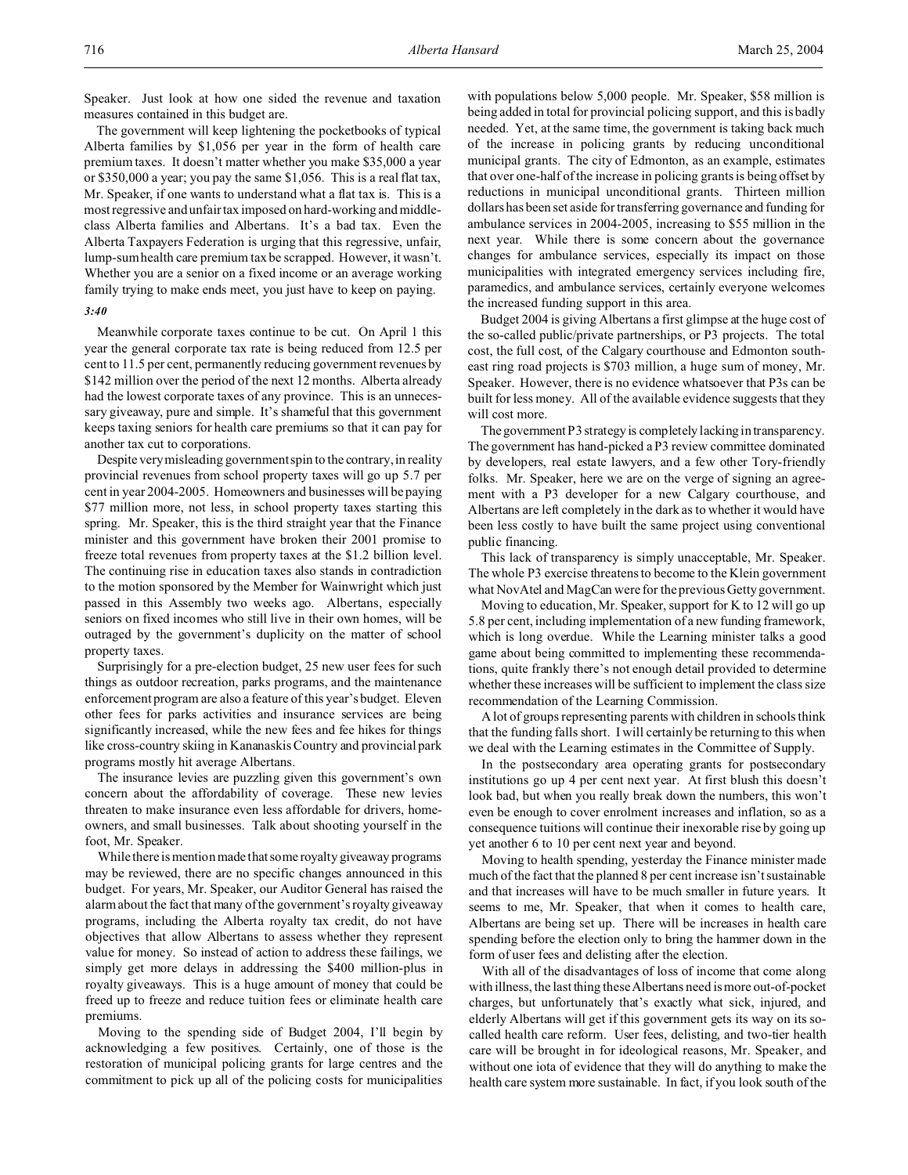Speaker. Just look at how one sided the revenue and taxation measures contained in this budget are.

The government will keep lightening the pocketbooks of typical Alberta families by \$1,056 per year in the form of health care premium taxes. It doesn't matter whether you make \$35,000 a year or \$350,000 a year; you pay the same \$1,056. This is a real flat tax, Mr. Speaker, if one wants to understand what a flat tax is. This is a most regressive and unfair tax imposed on hard-working and middleclass Alberta families and Albertans. It's a bad tax. Even the Alberta Taxpayers Federation is urging that this regressive, unfair, lump-sum health care premium tax be scrapped. However, it wasn't. Whether you are a senior on a fixed income or an average working family trying to make ends meet, you just have to keep on paying.

## *3:40*

Meanwhile corporate taxes continue to be cut. On April 1 this year the general corporate tax rate is being reduced from 12.5 per cent to 11.5 per cent, permanently reducing government revenues by \$142 million over the period of the next 12 months. Alberta already had the lowest corporate taxes of any province. This is an unnecessary giveaway, pure and simple. It's shameful that this government keeps taxing seniors for health care premiums so that it can pay for another tax cut to corporations.

Despite very misleading government spin to the contrary, in reality provincial revenues from school property taxes will go up 5.7 per cent in year 2004-2005. Homeowners and businesses will be paying \$77 million more, not less, in school property taxes starting this spring. Mr. Speaker, this is the third straight year that the Finance minister and this government have broken their 2001 promise to freeze total revenues from property taxes at the \$1.2 billion level. The continuing rise in education taxes also stands in contradiction to the motion sponsored by the Member for Wainwright which just passed in this Assembly two weeks ago. Albertans, especially seniors on fixed incomes who still live in their own homes, will be outraged by the government's duplicity on the matter of school property taxes.

Surprisingly for a pre-election budget, 25 new user fees for such things as outdoor recreation, parks programs, and the maintenance enforcement program are also a feature of this year's budget. Eleven other fees for parks activities and insurance services are being significantly increased, while the new fees and fee hikes for things like cross-country skiing in Kananaskis Country and provincial park programs mostly hit average Albertans.

The insurance levies are puzzling given this government's own concern about the affordability of coverage. These new levies threaten to make insurance even less affordable for drivers, homeowners, and small businesses. Talk about shooting yourself in the foot, Mr. Speaker.

While there is mention made that some royalty giveaway programs may be reviewed, there are no specific changes announced in this budget. For years, Mr. Speaker, our Auditor General has raised the alarm about the fact that many of the government's royalty giveaway programs, including the Alberta royalty tax credit, do not have objectives that allow Albertans to assess whether they represent value for money. So instead of action to address these failings, we simply get more delays in addressing the \$400 million-plus in royalty giveaways. This is a huge amount of money that could be freed up to freeze and reduce tuition fees or eliminate health care premiums.

Moving to the spending side of Budget 2004, I'll begin by acknowledging a few positives. Certainly, one of those is the restoration of municipal policing grants for large centres and the commitment to pick up all of the policing costs for municipalities

with populations below 5,000 people. Mr. Speaker, \$58 million is being added in total for provincial policing support, and this is badly needed. Yet, at the same time, the government is taking back much of the increase in policing grants by reducing unconditional municipal grants. The city of Edmonton, as an example, estimates that over one-half of the increase in policing grants is being offset by reductions in municipal unconditional grants. Thirteen million dollars has been set aside for transferring governance and funding for ambulance services in 2004-2005, increasing to \$55 million in the next year. While there is some concern about the governance changes for ambulance services, especially its impact on those municipalities with integrated emergency services including fire, paramedics, and ambulance services, certainly everyone welcomes the increased funding support in this area.

Budget 2004 is giving Albertans a first glimpse at the huge cost of the so-called public/private partnerships, or P3 projects. The total cost, the full cost, of the Calgary courthouse and Edmonton southeast ring road projects is \$703 million, a huge sum of money, Mr. Speaker. However, there is no evidence whatsoever that P3s can be built for less money. All of the available evidence suggests that they will cost more.

The government P3 strategy is completely lacking in transparency. The government has hand-picked a P3 review committee dominated by developers, real estate lawyers, and a few other Tory-friendly folks. Mr. Speaker, here we are on the verge of signing an agreement with a P3 developer for a new Calgary courthouse, and Albertans are left completely in the dark as to whether it would have been less costly to have built the same project using conventional public financing.

This lack of transparency is simply unacceptable, Mr. Speaker. The whole P3 exercise threatens to become to the Klein government what NovAtel and MagCan were for the previous Getty government.

Moving to education, Mr. Speaker, support for K to 12 will go up 5.8 per cent, including implementation of a new funding framework, which is long overdue. While the Learning minister talks a good game about being committed to implementing these recommendations, quite frankly there's not enough detail provided to determine whether these increases will be sufficient to implement the class size recommendation of the Learning Commission.

A lot of groups representing parents with children in schools think that the funding falls short. I will certainly be returning to this when we deal with the Learning estimates in the Committee of Supply.

In the postsecondary area operating grants for postsecondary institutions go up 4 per cent next year. At first blush this doesn't look bad, but when you really break down the numbers, this won't even be enough to cover enrolment increases and inflation, so as a consequence tuitions will continue their inexorable rise by going up yet another 6 to 10 per cent next year and beyond.

Moving to health spending, yesterday the Finance minister made much of the fact that the planned 8 per cent increase isn't sustainable and that increases will have to be much smaller in future years. It seems to me, Mr. Speaker, that when it comes to health care, Albertans are being set up. There will be increases in health care spending before the election only to bring the hammer down in the form of user fees and delisting after the election.

With all of the disadvantages of loss of income that come along with illness, the last thing these Albertans need is more out-of-pocket charges, but unfortunately that's exactly what sick, injured, and elderly Albertans will get if this government gets its way on its socalled health care reform. User fees, delisting, and two-tier health care will be brought in for ideological reasons, Mr. Speaker, and without one iota of evidence that they will do anything to make the health care system more sustainable. In fact, if you look south of the